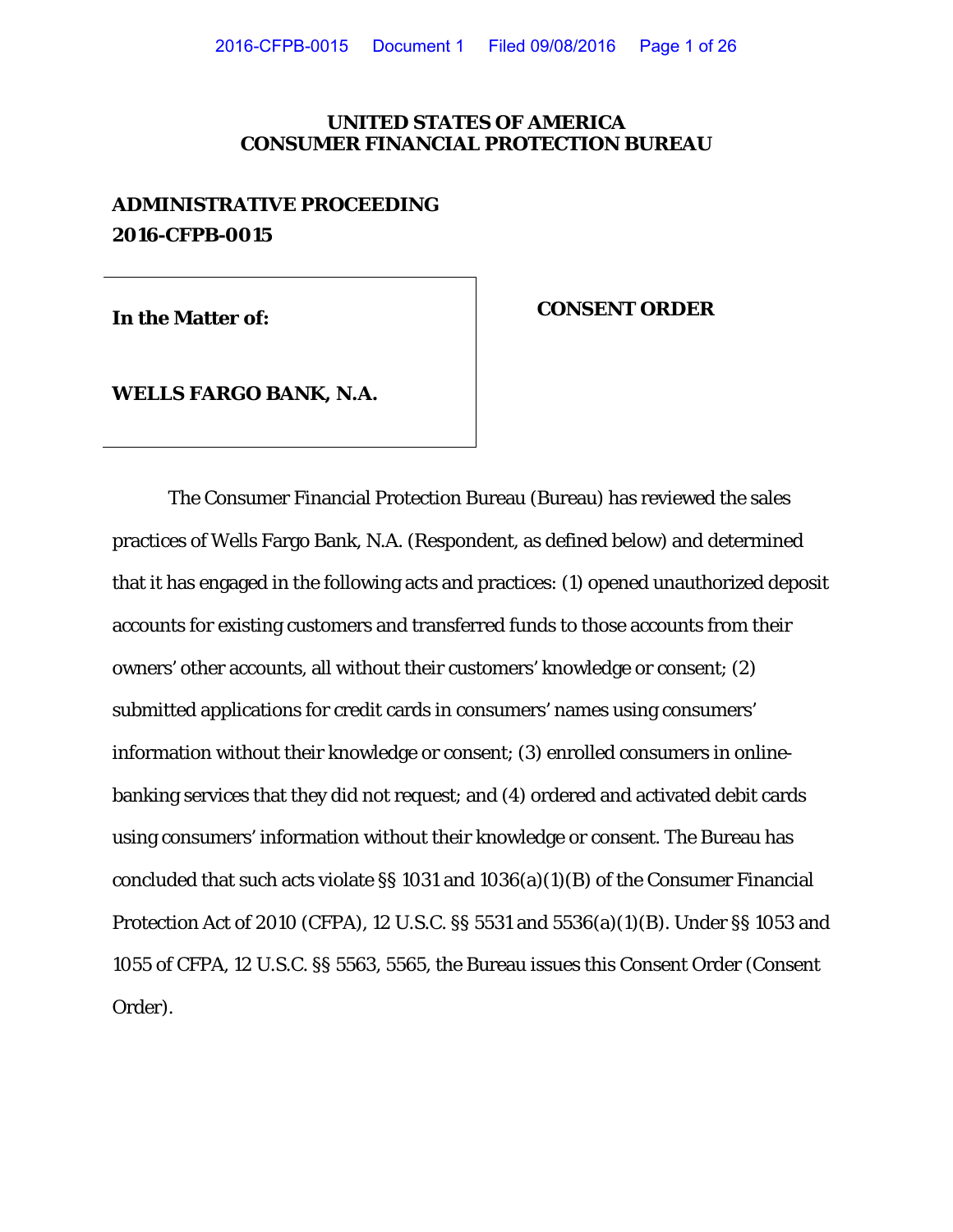# **UNITED STATES OF AMERICA CONSUMER FINANCIAL PROTECTION BUREAU**

# **ADMINISTRATIVE PROCEEDING 2016-CFPB-0015**

# **In the Matter of: CONSENT ORDER**

**WELLS FARGO BANK, N.A.**

The Consumer Financial Protection Bureau (Bureau) has reviewed the sales practices of Wells Fargo Bank, N.A. (Respondent, as defined below) and determined that it has engaged in the following acts and practices: (1) opened unauthorized deposit accounts for existing customers and transferred funds to those accounts from their owners' other accounts, all without their customers' knowledge or consent; (2) submitted applications for credit cards in consumers' names using consumers' information without their knowledge or consent; (3) enrolled consumers in onlinebanking services that they did not request; and (4) ordered and activated debit cards using consumers' information without their knowledge or consent. The Bureau has concluded that such acts violate §§ 1031 and 1036(a)(1)(B) of the Consumer Financial Protection Act of 2010 (CFPA), 12 U.S.C. §§ 5531 and 5536(a)(1)(B). Under §§ 1053 and 1055 of CFPA, 12 U.S.C. §§ 5563, 5565, the Bureau issues this Consent Order (Consent Order).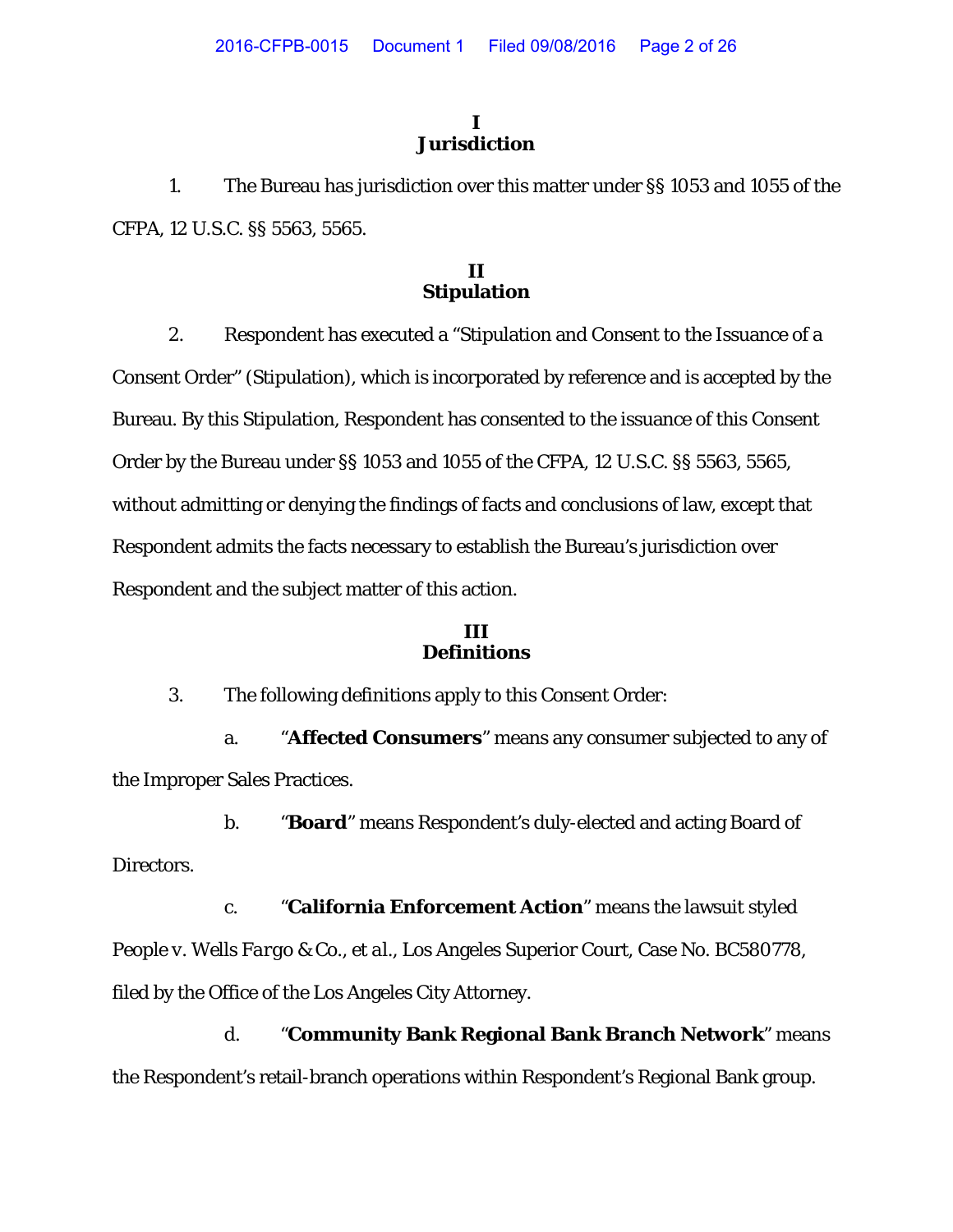# **I Jurisdiction**

1. The Bureau has jurisdiction over this matter under §§ 1053 and 1055 of the CFPA, 12 U.S.C. §§ 5563, 5565.

# **II Stipulation**

2. Respondent has executed a "Stipulation and Consent to the Issuance of a Consent Order" (Stipulation), which is incorporated by reference and is accepted by the Bureau. By this Stipulation, Respondent has consented to the issuance of this Consent Order by the Bureau under §§ 1053 and 1055 of the CFPA, 12 U.S.C. §§ 5563, 5565, without admitting or denying the findings of facts and conclusions of law, except that Respondent admits the facts necessary to establish the Bureau's jurisdiction over Respondent and the subject matter of this action.

# **III Definitions**

3. The following definitions apply to this Consent Order:

a. "**Affected Consumers**" means any consumer subjected to any of the Improper Sales Practices.

b. "**Board**" means Respondent's duly-elected and acting Board of Directors.

c. "**California Enforcement Action**" means the lawsuit styled *People v. Wells Fargo & Co., et al.*, Los Angeles Superior Court, Case No. BC580778, filed by the Office of the Los Angeles City Attorney.

d. "**Community Bank Regional Bank Branch Network**" means the Respondent's retail-branch operations within Respondent's Regional Bank group.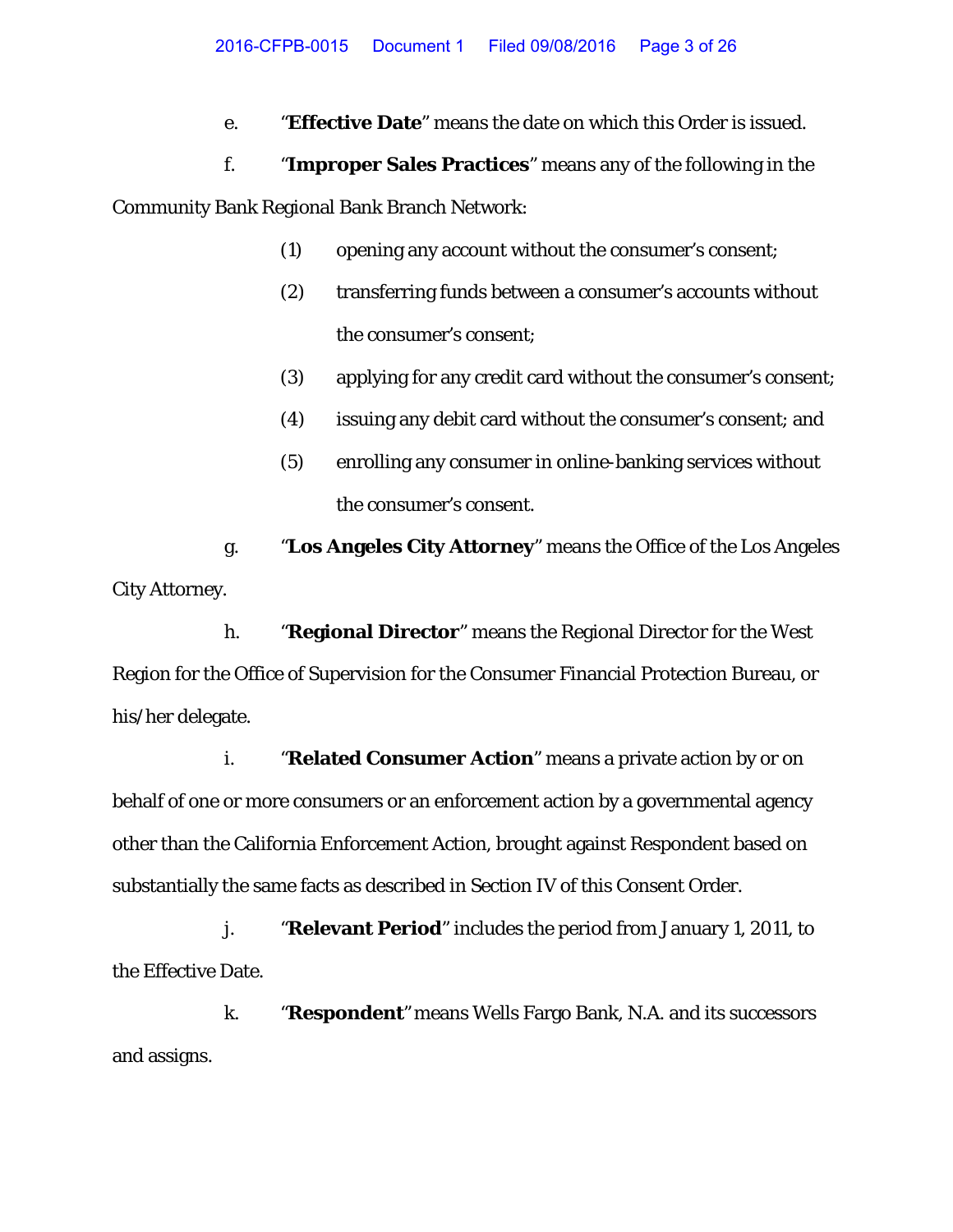e. "**Effective Date**" means the date on which this Order is issued.

# f. "**Improper Sales Practices**" means any of the following in the Community Bank Regional Bank Branch Network:

- (1) opening any account without the consumer's consent;
- (2) transferring funds between a consumer's accounts without the consumer's consent;
- (3) applying for any credit card without the consumer's consent;
- (4) issuing any debit card without the consumer's consent; and
- (5) enrolling any consumer in online-banking services without the consumer's consent.

g. "**Los Angeles City Attorney**" means the Office of the Los Angeles City Attorney.

h. "**Regional Director**" means the Regional Director for the West Region for the Office of Supervision for the Consumer Financial Protection Bureau, or his/her delegate.

i. "**Related Consumer Action**" means a private action by or on behalf of one or more consumers or an enforcement action by a governmental agency other than the California Enforcement Action, brought against Respondent based on substantially the same facts as described in Section IV of this Consent Order.

j. "**Relevant Period**" includes the period from January 1, 2011, to the Effective Date.

k. "**Respondent**" means Wells Fargo Bank, N.A. and its successors and assigns.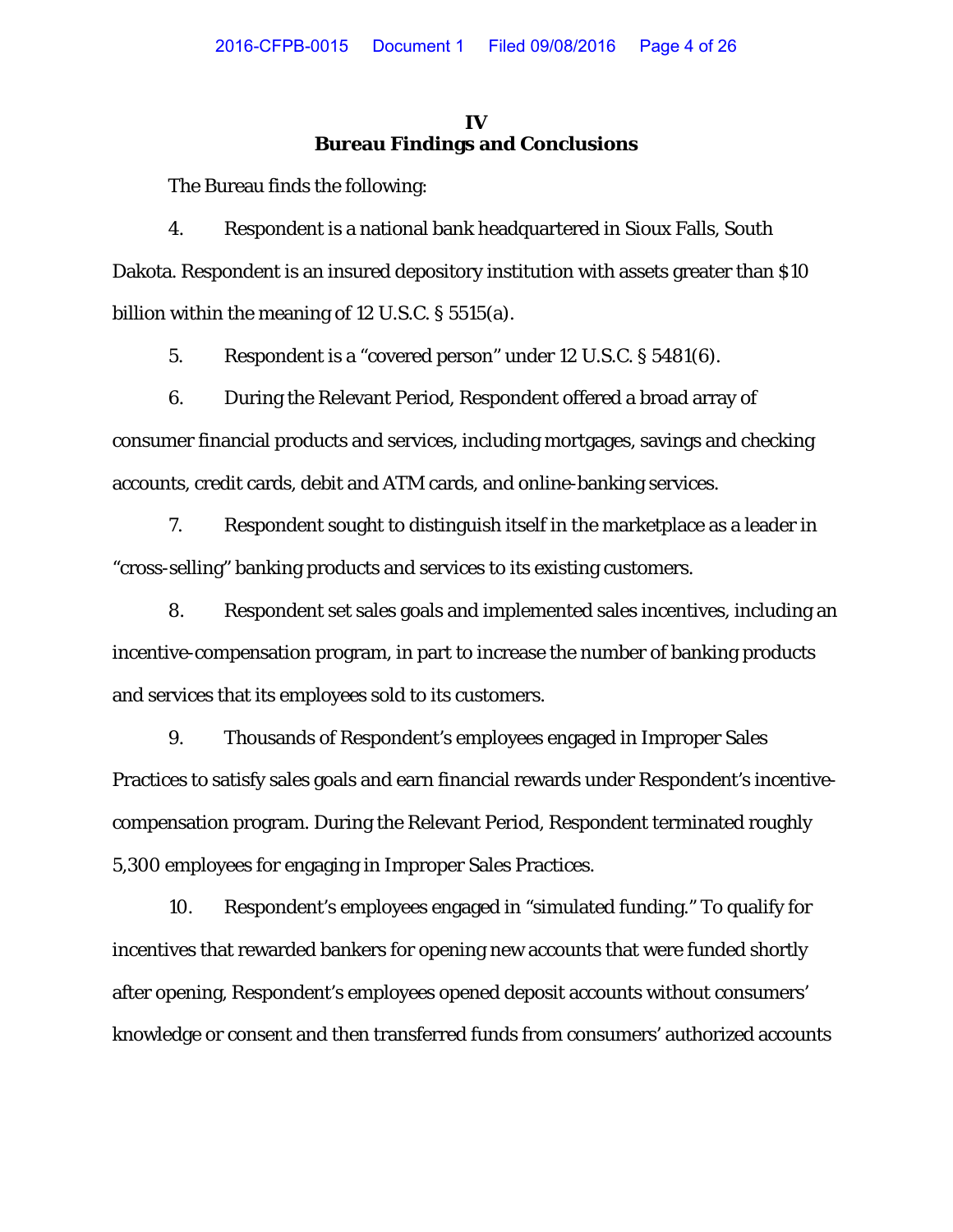# **IV Bureau Findings and Conclusions**

The Bureau finds the following:

4. Respondent is a national bank headquartered in Sioux Falls, South Dakota. Respondent is an insured depository institution with assets greater than \$10 billion within the meaning of 12 U.S.C. § 5515(a).

5. Respondent is a "covered person" under 12 U.S.C. § 5481(6).

6. During the Relevant Period, Respondent offered a broad array of consumer financial products and services, including mortgages, savings and checking accounts, credit cards, debit and ATM cards, and online-banking services.

7. Respondent sought to distinguish itself in the marketplace as a leader in "cross-selling" banking products and services to its existing customers.

8. Respondent set sales goals and implemented sales incentives, including an incentive-compensation program, in part to increase the number of banking products and services that its employees sold to its customers.

9. Thousands of Respondent's employees engaged in Improper Sales Practices to satisfy sales goals and earn financial rewards under Respondent's incentivecompensation program. During the Relevant Period, Respondent terminated roughly 5,300 employees for engaging in Improper Sales Practices.

10. Respondent's employees engaged in "simulated funding." To qualify for incentives that rewarded bankers for opening new accounts that were funded shortly after opening, Respondent's employees opened deposit accounts without consumers' knowledge or consent and then transferred funds from consumers' authorized accounts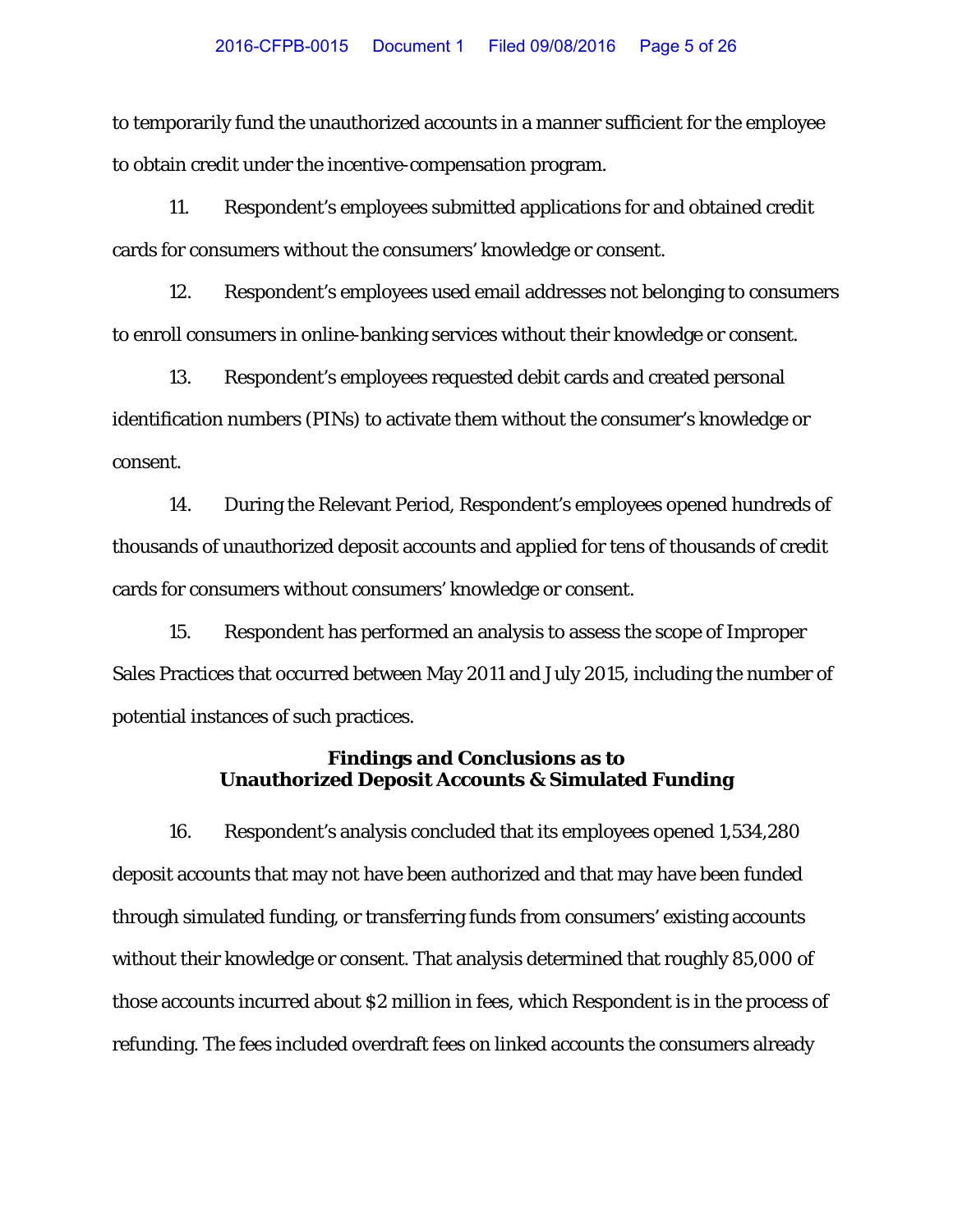to temporarily fund the unauthorized accounts in a manner sufficient for the employee to obtain credit under the incentive-compensation program.

11. Respondent's employees submitted applications for and obtained credit cards for consumers without the consumers' knowledge or consent.

12. Respondent's employees used email addresses not belonging to consumers to enroll consumers in online-banking services without their knowledge or consent.

13. Respondent's employees requested debit cards and created personal identification numbers (PINs) to activate them without the consumer's knowledge or consent.

14. During the Relevant Period, Respondent's employees opened hundreds of thousands of unauthorized deposit accounts and applied for tens of thousands of credit cards for consumers without consumers' knowledge or consent.

15. Respondent has performed an analysis to assess the scope of Improper Sales Practices that occurred between May 2011 and July 2015, including the number of potential instances of such practices.

# **Findings and Conclusions as to Unauthorized Deposit Accounts & Simulated Funding**

16. Respondent's analysis concluded that its employees opened 1,534,280 deposit accounts that may not have been authorized and that may have been funded through simulated funding, or transferring funds from consumers' existing accounts without their knowledge or consent. That analysis determined that roughly 85,000 of those accounts incurred about \$2 million in fees, which Respondent is in the process of refunding. The fees included overdraft fees on linked accounts the consumers already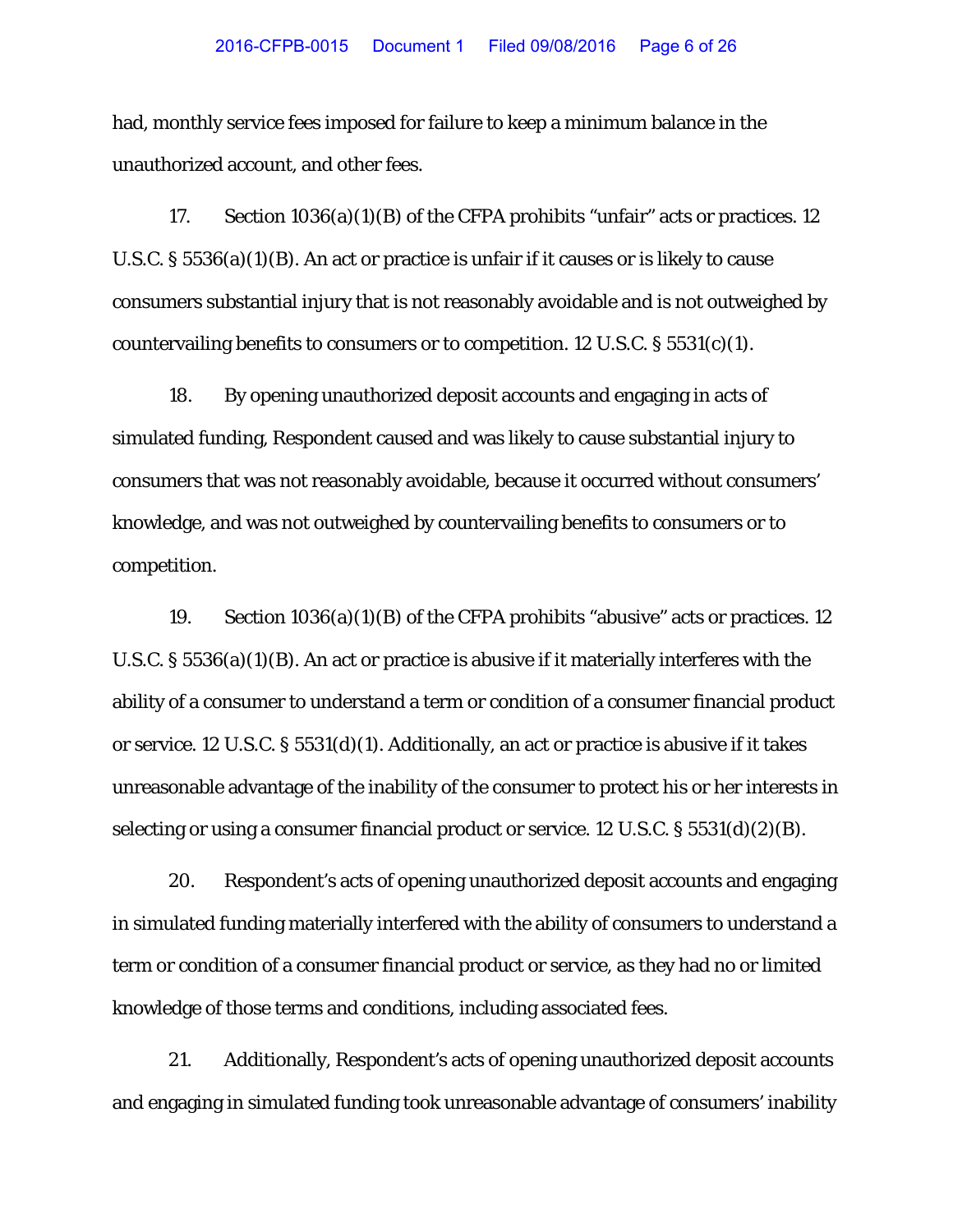had, monthly service fees imposed for failure to keep a minimum balance in the unauthorized account, and other fees.

17. Section 1036(a)(1)(B) of the CFPA prohibits "unfair" acts or practices. 12 U.S.C. § 5536(a)(1)(B). An act or practice is unfair if it causes or is likely to cause consumers substantial injury that is not reasonably avoidable and is not outweighed by countervailing benefits to consumers or to competition. 12 U.S.C.  $\S 5531(c)(1)$ .

18. By opening unauthorized deposit accounts and engaging in acts of simulated funding, Respondent caused and was likely to cause substantial injury to consumers that was not reasonably avoidable, because it occurred without consumers' knowledge, and was not outweighed by countervailing benefits to consumers or to competition.

19. Section 1036(a)(1)(B) of the CFPA prohibits "abusive" acts or practices. 12 U.S.C. § 5536(a)(1)(B). An act or practice is abusive if it materially interferes with the ability of a consumer to understand a term or condition of a consumer financial product or service. 12 U.S.C. § 5531(d)(1). Additionally, an act or practice is abusive if it takes unreasonable advantage of the inability of the consumer to protect his or her interests in selecting or using a consumer financial product or service. 12 U.S.C. § 5531(d)(2)(B).

20. Respondent's acts of opening unauthorized deposit accounts and engaging in simulated funding materially interfered with the ability of consumers to understand a term or condition of a consumer financial product or service, as they had no or limited knowledge of those terms and conditions, including associated fees.

21. Additionally, Respondent's acts of opening unauthorized deposit accounts and engaging in simulated funding took unreasonable advantage of consumers' inability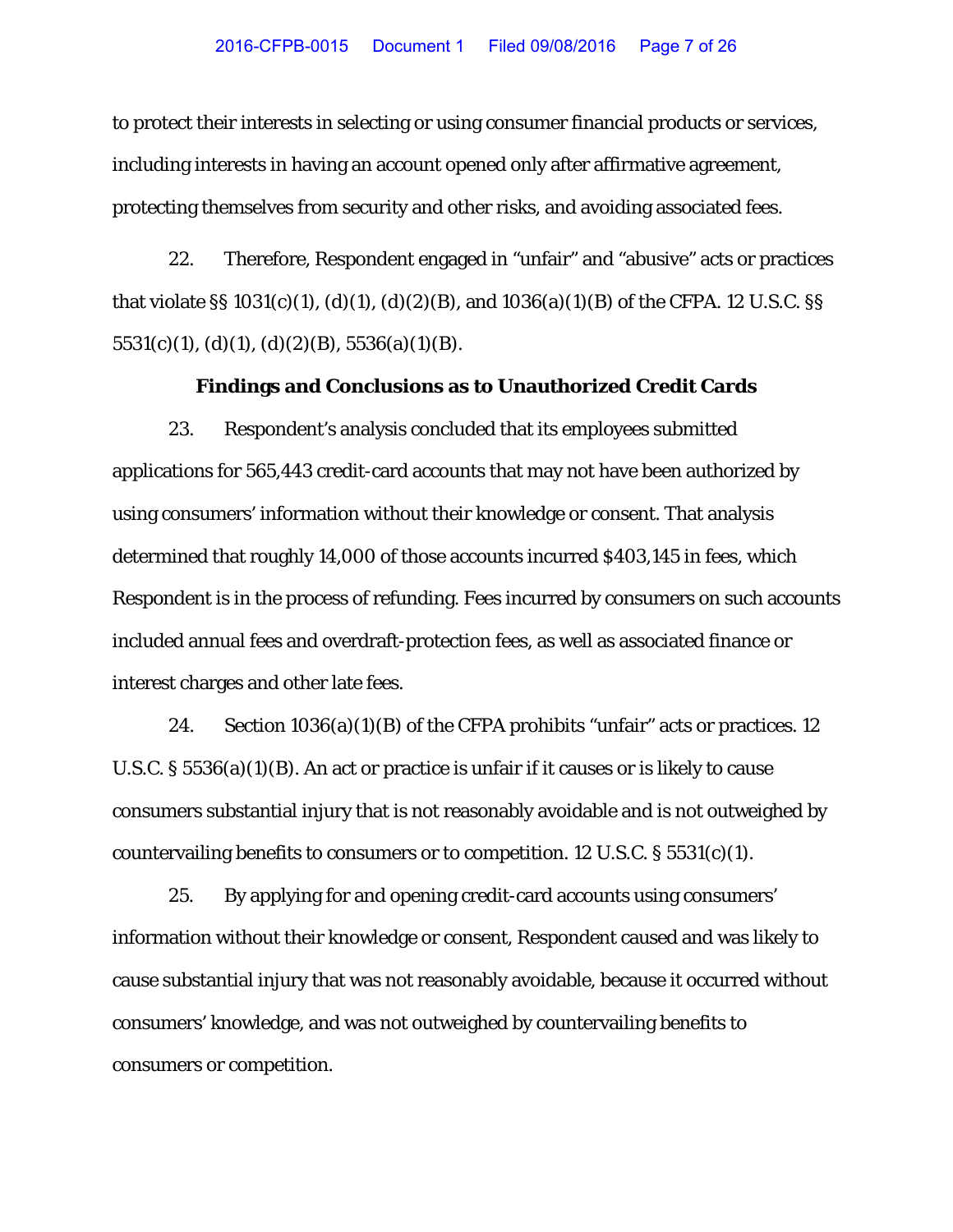to protect their interests in selecting or using consumer financial products or services, including interests in having an account opened only after affirmative agreement, protecting themselves from security and other risks, and avoiding associated fees.

22. Therefore, Respondent engaged in "unfair" and "abusive" acts or practices that violate §§ 1031(c)(1), (d)(1), (d)(2)(B), and 1036(a)(1)(B) of the CFPA. 12 U.S.C. §§  $5531(c)(1)$ , (d)(1), (d)(2)(B),  $5536(a)(1)(B)$ .

#### **Findings and Conclusions as to Unauthorized Credit Cards**

23. Respondent's analysis concluded that its employees submitted applications for 565,443 credit-card accounts that may not have been authorized by using consumers' information without their knowledge or consent. That analysis determined that roughly 14,000 of those accounts incurred \$403,145 in fees, which Respondent is in the process of refunding. Fees incurred by consumers on such accounts included annual fees and overdraft-protection fees, as well as associated finance or interest charges and other late fees.

24. Section 1036(a)(1)(B) of the CFPA prohibits "unfair" acts or practices. 12 U.S.C. § 5536(a)(1)(B). An act or practice is unfair if it causes or is likely to cause consumers substantial injury that is not reasonably avoidable and is not outweighed by countervailing benefits to consumers or to competition. 12 U.S.C.  $\S 5531(c)(1)$ .

25. By applying for and opening credit-card accounts using consumers' information without their knowledge or consent, Respondent caused and was likely to cause substantial injury that was not reasonably avoidable, because it occurred without consumers' knowledge, and was not outweighed by countervailing benefits to consumers or competition.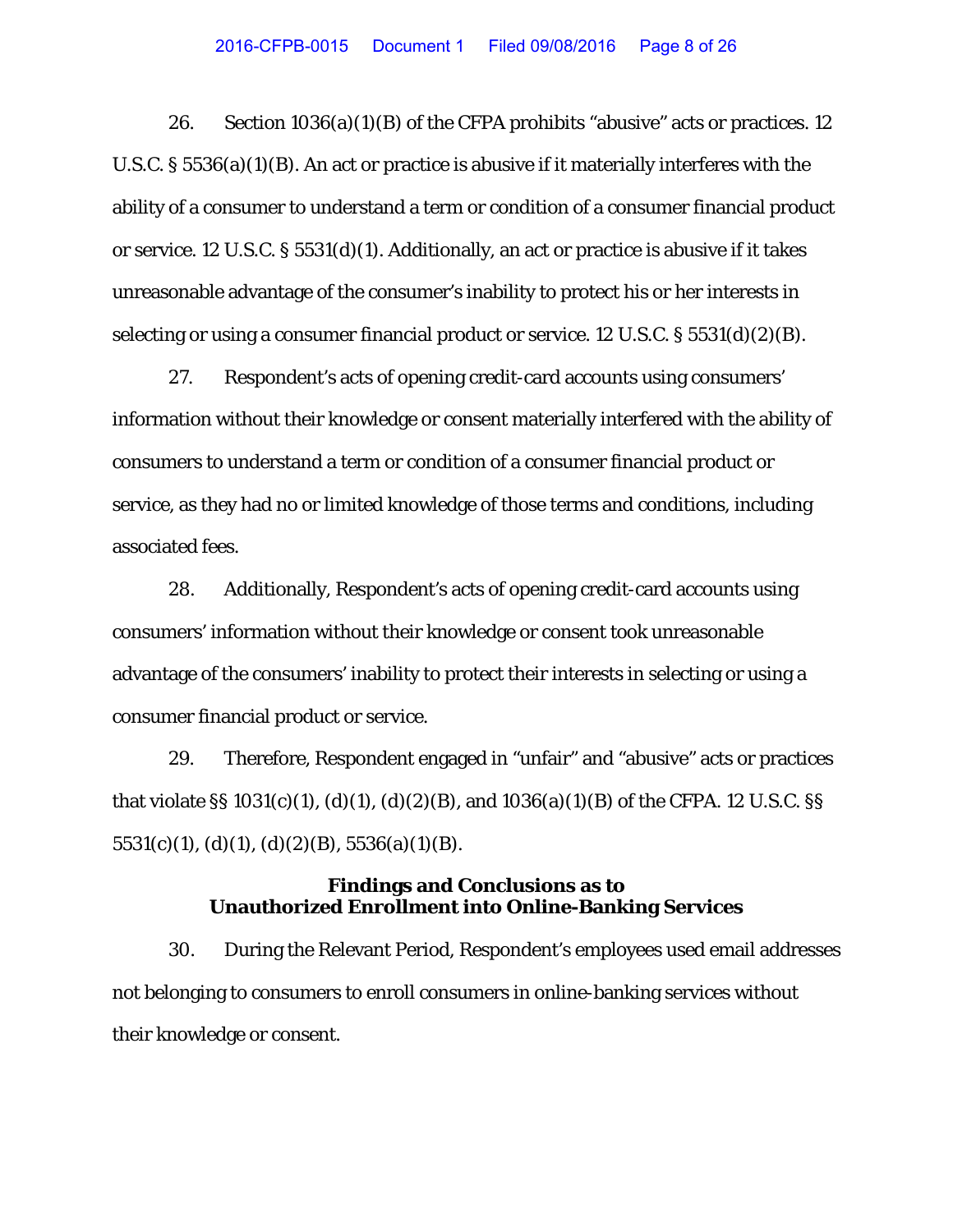26. Section  $1036(a)(1)(B)$  of the CFPA prohibits "abusive" acts or practices. 12 U.S.C. § 5536(a)(1)(B). An act or practice is abusive if it materially interferes with the ability of a consumer to understand a term or condition of a consumer financial product or service. 12 U.S.C. § 5531(d)(1). Additionally, an act or practice is abusive if it takes unreasonable advantage of the consumer's inability to protect his or her interests in selecting or using a consumer financial product or service. 12 U.S.C. § 5531(d)(2)(B).

27. Respondent's acts of opening credit-card accounts using consumers' information without their knowledge or consent materially interfered with the ability of consumers to understand a term or condition of a consumer financial product or service, as they had no or limited knowledge of those terms and conditions, including associated fees.

28. Additionally, Respondent's acts of opening credit-card accounts using consumers' information without their knowledge or consent took unreasonable advantage of the consumers' inability to protect their interests in selecting or using a consumer financial product or service.

29. Therefore, Respondent engaged in "unfair" and "abusive" acts or practices that violate §§ 1031(c)(1), (d)(1), (d)(2)(B), and 1036(a)(1)(B) of the CFPA. 12 U.S.C. §§  $5531(c)(1), (d)(1), (d)(2)(B), 5536(a)(1)(B).$ 

# **Findings and Conclusions as to Unauthorized Enrollment into Online-Banking Services**

30. During the Relevant Period, Respondent's employees used email addresses not belonging to consumers to enroll consumers in online-banking services without their knowledge or consent.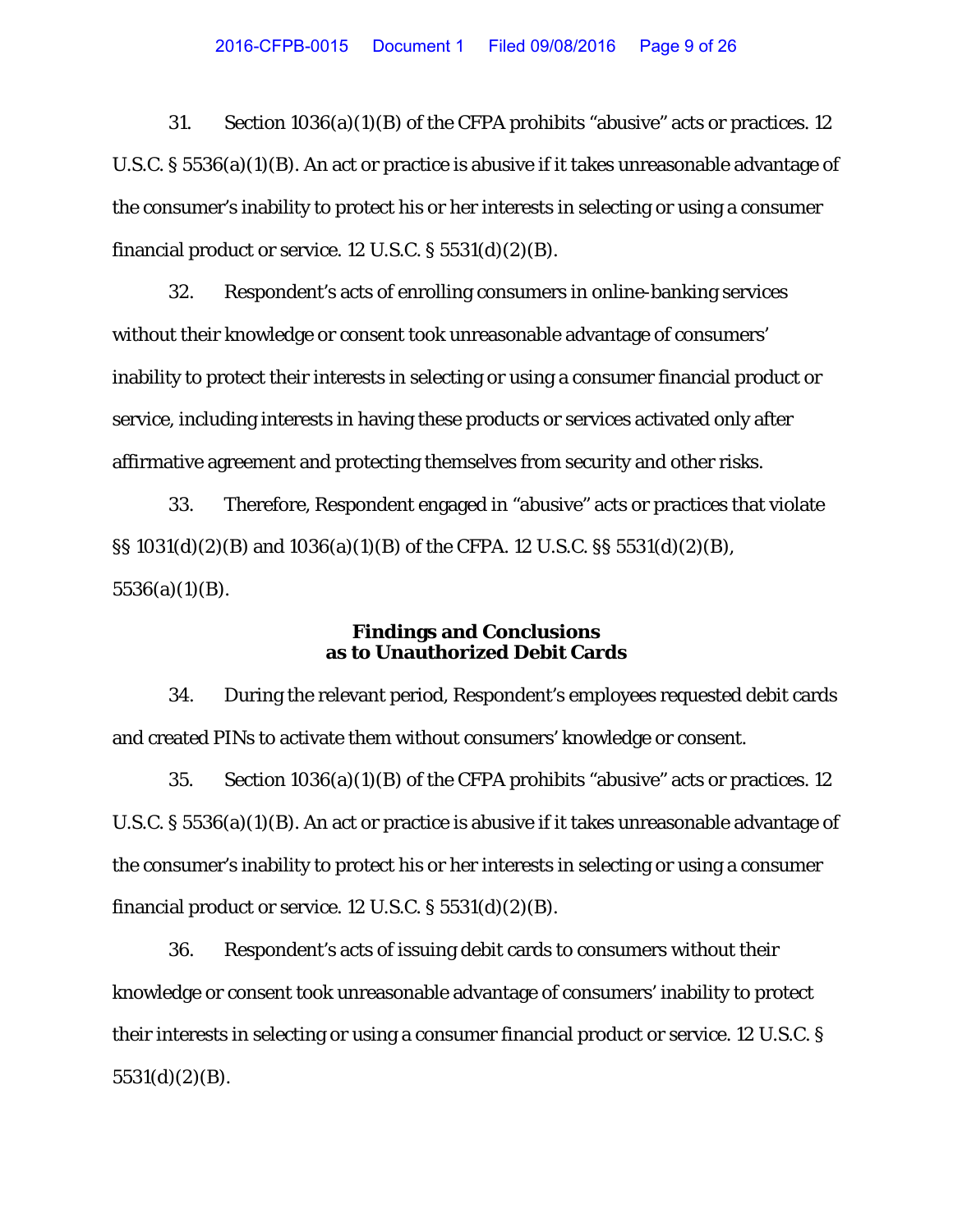31. Section 1036(a)(1)(B) of the CFPA prohibits "abusive" acts or practices. 12 U.S.C. § 5536(a)(1)(B). An act or practice is abusive if it takes unreasonable advantage of the consumer's inability to protect his or her interests in selecting or using a consumer financial product or service.  $12$  U.S.C. §  $5531(d)(2)(B)$ .

32. Respondent's acts of enrolling consumers in online-banking services without their knowledge or consent took unreasonable advantage of consumers' inability to protect their interests in selecting or using a consumer financial product or service, including interests in having these products or services activated only after affirmative agreement and protecting themselves from security and other risks.

33. Therefore, Respondent engaged in "abusive" acts or practices that violate §§ 1031(d)(2)(B) and 1036(a)(1)(B) of the CFPA. 12 U.S.C. §§ 5531(d)(2)(B), 5536(a)(1)(B).

# **Findings and Conclusions as to Unauthorized Debit Cards**

34. During the relevant period, Respondent's employees requested debit cards and created PINs to activate them without consumers' knowledge or consent.

35. Section 1036(a)(1)(B) of the CFPA prohibits "abusive" acts or practices. 12 U.S.C. § 5536(a)(1)(B). An act or practice is abusive if it takes unreasonable advantage of the consumer's inability to protect his or her interests in selecting or using a consumer financial product or service.  $12$  U.S.C. §  $5531(d)(2)(B)$ .

36. Respondent's acts of issuing debit cards to consumers without their knowledge or consent took unreasonable advantage of consumers' inability to protect their interests in selecting or using a consumer financial product or service. 12 U.S.C. § 5531(d)(2)(B).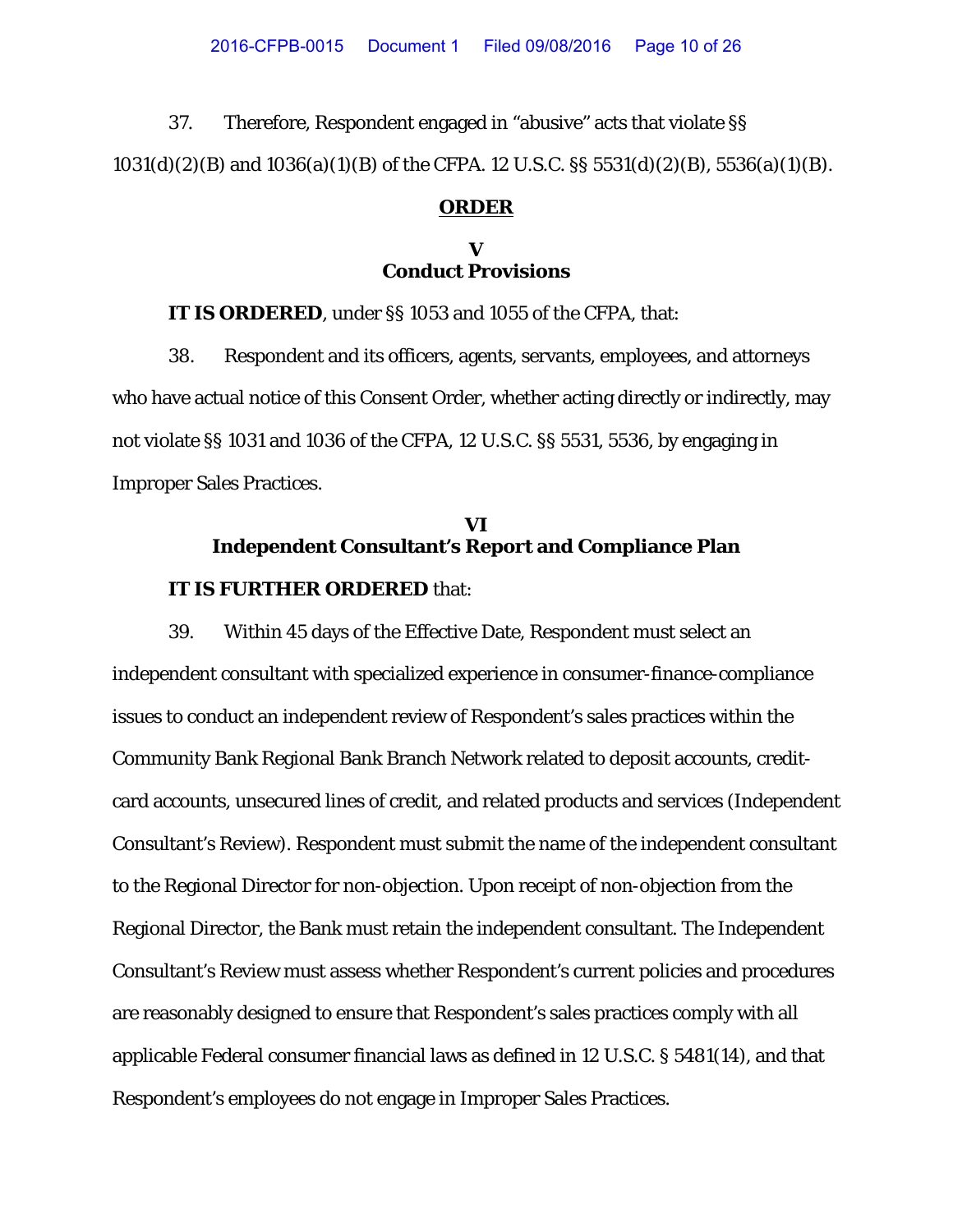37. Therefore, Respondent engaged in "abusive" acts that violate §§ 1031(d)(2)(B) and 1036(a)(1)(B) of the CFPA. 12 U.S.C. §§ 5531(d)(2)(B), 5536(a)(1)(B).

#### **ORDER**

# **V Conduct Provisions**

**IT IS ORDERED**, under §§ 1053 and 1055 of the CFPA, that:

38. Respondent and its officers, agents, servants, employees, and attorneys who have actual notice of this Consent Order, whether acting directly or indirectly, may not violate §§ 1031 and 1036 of the CFPA, 12 U.S.C. §§ 5531, 5536, by engaging in Improper Sales Practices.

# **VI Independent Consultant's Report and Compliance Plan**

## **IT IS FURTHER ORDERED** that:

39. Within 45 days of the Effective Date, Respondent must select an independent consultant with specialized experience in consumer-finance-compliance issues to conduct an independent review of Respondent's sales practices within the Community Bank Regional Bank Branch Network related to deposit accounts, creditcard accounts, unsecured lines of credit, and related products and services (Independent Consultant's Review). Respondent must submit the name of the independent consultant to the Regional Director for non-objection. Upon receipt of non-objection from the Regional Director, the Bank must retain the independent consultant. The Independent Consultant's Review must assess whether Respondent's current policies and procedures are reasonably designed to ensure that Respondent's sales practices comply with all applicable Federal consumer financial laws as defined in 12 U.S.C. § 5481(14), and that Respondent's employees do not engage in Improper Sales Practices.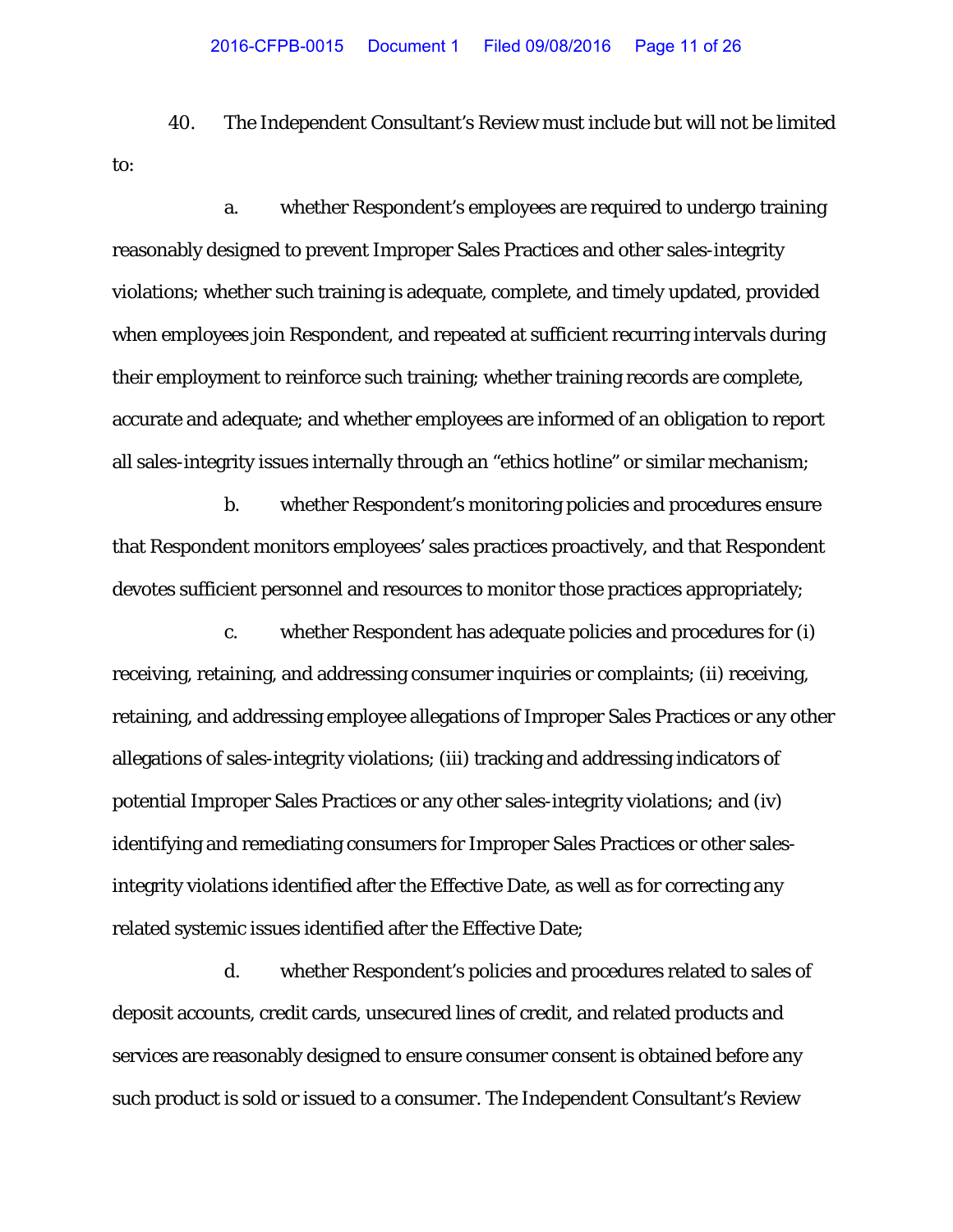40. The Independent Consultant's Review must include but will not be limited to:

a. whether Respondent's employees are required to undergo training reasonably designed to prevent Improper Sales Practices and other sales-integrity violations; whether such training is adequate, complete, and timely updated, provided when employees join Respondent, and repeated at sufficient recurring intervals during their employment to reinforce such training; whether training records are complete, accurate and adequate; and whether employees are informed of an obligation to report all sales-integrity issues internally through an "ethics hotline" or similar mechanism;

b. whether Respondent's monitoring policies and procedures ensure that Respondent monitors employees' sales practices proactively, and that Respondent devotes sufficient personnel and resources to monitor those practices appropriately;

c. whether Respondent has adequate policies and procedures for (i) receiving, retaining, and addressing consumer inquiries or complaints; (ii) receiving, retaining, and addressing employee allegations of Improper Sales Practices or any other allegations of sales-integrity violations; (iii) tracking and addressing indicators of potential Improper Sales Practices or any other sales-integrity violations; and (iv) identifying and remediating consumers for Improper Sales Practices or other salesintegrity violations identified after the Effective Date, as well as for correcting any related systemic issues identified after the Effective Date;

d. whether Respondent's policies and procedures related to sales of deposit accounts, credit cards, unsecured lines of credit, and related products and services are reasonably designed to ensure consumer consent is obtained before any such product is sold or issued to a consumer. The Independent Consultant's Review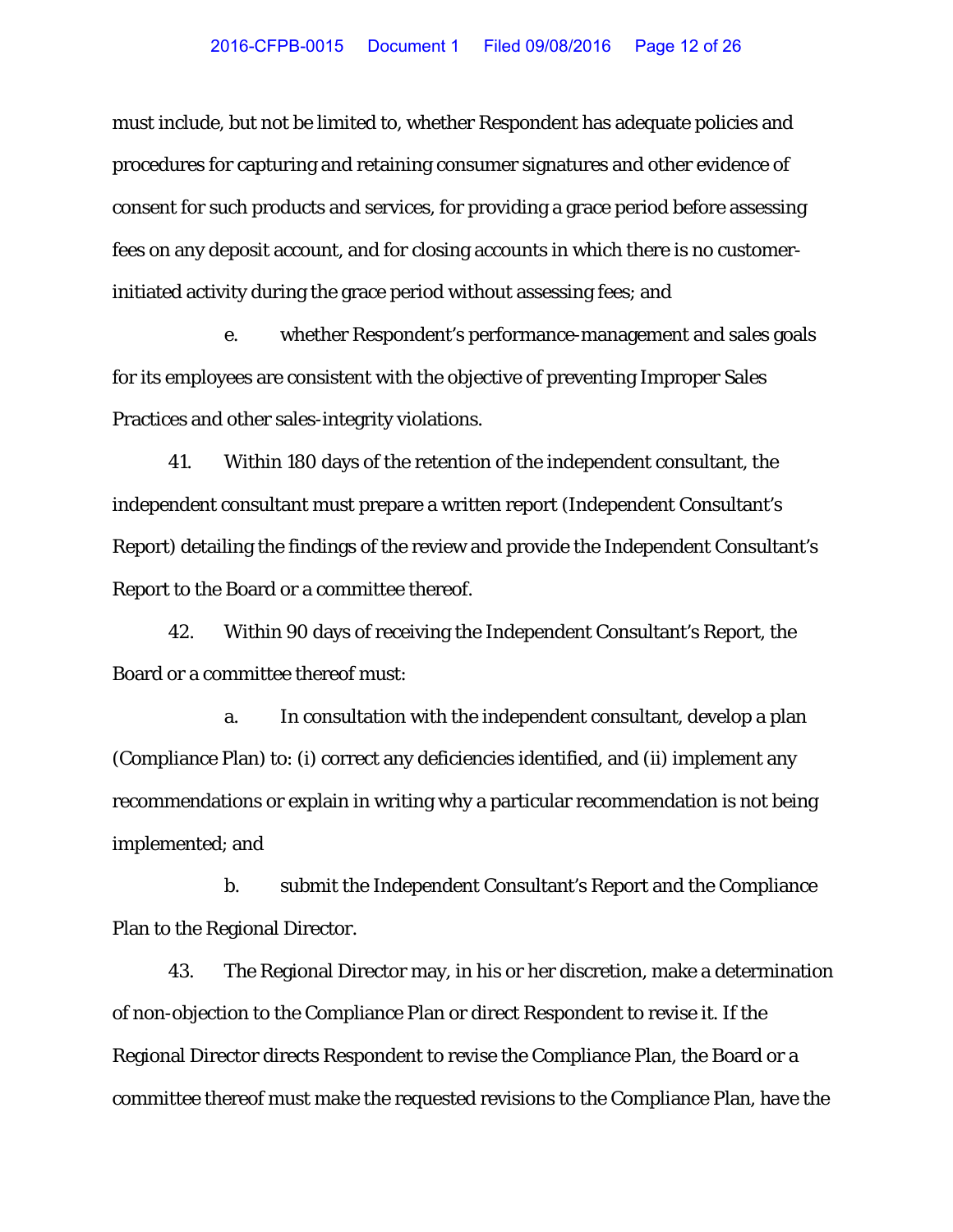must include, but not be limited to, whether Respondent has adequate policies and procedures for capturing and retaining consumer signatures and other evidence of consent for such products and services, for providing a grace period before assessing fees on any deposit account, and for closing accounts in which there is no customerinitiated activity during the grace period without assessing fees; and

e. whether Respondent's performance-management and sales goals for its employees are consistent with the objective of preventing Improper Sales Practices and other sales-integrity violations.

41. Within 180 days of the retention of the independent consultant, the independent consultant must prepare a written report (Independent Consultant's Report) detailing the findings of the review and provide the Independent Consultant's Report to the Board or a committee thereof.

42. Within 90 days of receiving the Independent Consultant's Report, the Board or a committee thereof must:

a. In consultation with the independent consultant, develop a plan (Compliance Plan) to: (i) correct any deficiencies identified, and (ii) implement any recommendations or explain in writing why a particular recommendation is not being implemented; and

b. submit the Independent Consultant's Report and the Compliance Plan to the Regional Director.

43. The Regional Director may, in his or her discretion, make a determination of non-objection to the Compliance Plan or direct Respondent to revise it. If the Regional Director directs Respondent to revise the Compliance Plan, the Board or a committee thereof must make the requested revisions to the Compliance Plan, have the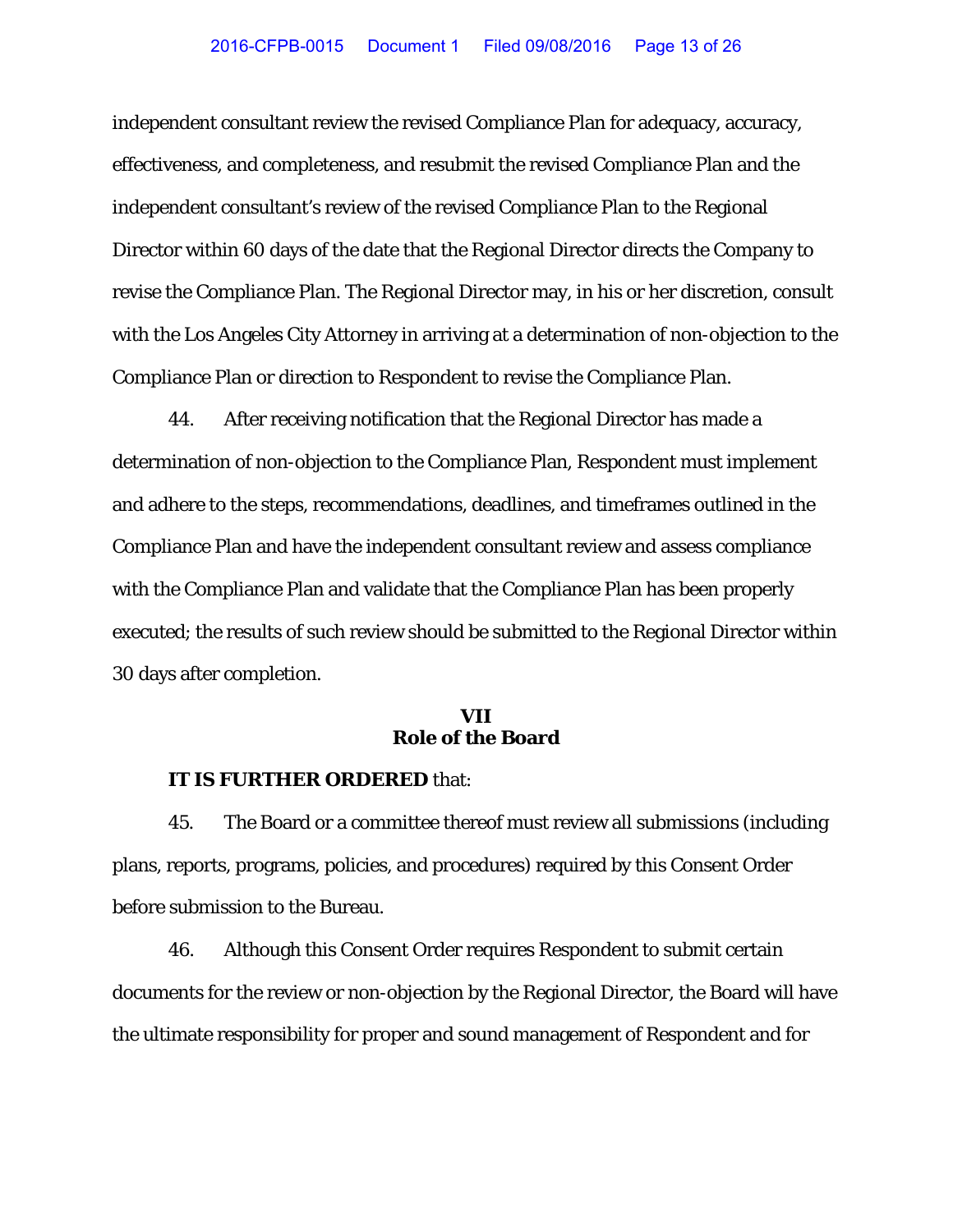independent consultant review the revised Compliance Plan for adequacy, accuracy, effectiveness, and completeness, and resubmit the revised Compliance Plan and the independent consultant's review of the revised Compliance Plan to the Regional Director within 60 days of the date that the Regional Director directs the Company to revise the Compliance Plan. The Regional Director may, in his or her discretion, consult with the Los Angeles City Attorney in arriving at a determination of non-objection to the Compliance Plan or direction to Respondent to revise the Compliance Plan.

44. After receiving notification that the Regional Director has made a determination of non-objection to the Compliance Plan, Respondent must implement and adhere to the steps, recommendations, deadlines, and timeframes outlined in the Compliance Plan and have the independent consultant review and assess compliance with the Compliance Plan and validate that the Compliance Plan has been properly executed; the results of such review should be submitted to the Regional Director within 30 days after completion.

## **VII Role of the Board**

## **IT IS FURTHER ORDERED** that:

45. The Board or a committee thereof must review all submissions (including plans, reports, programs, policies, and procedures) required by this Consent Order before submission to the Bureau.

46. Although this Consent Order requires Respondent to submit certain documents for the review or non-objection by the Regional Director, the Board will have the ultimate responsibility for proper and sound management of Respondent and for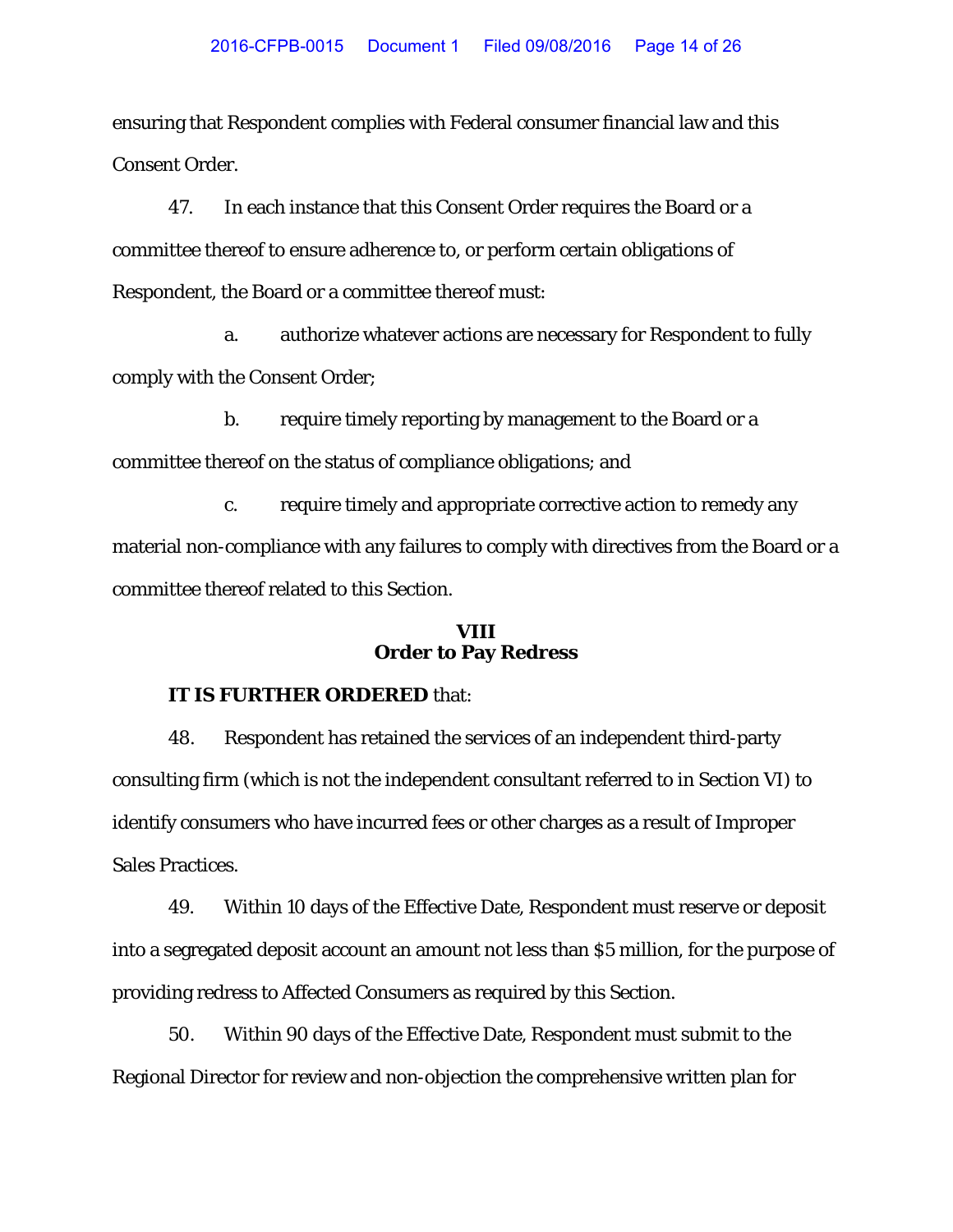ensuring that Respondent complies with Federal consumer financial law and this Consent Order.

47. In each instance that this Consent Order requires the Board or a committee thereof to ensure adherence to, or perform certain obligations of Respondent, the Board or a committee thereof must:

a. authorize whatever actions are necessary for Respondent to fully comply with the Consent Order;

b. require timely reporting by management to the Board or a committee thereof on the status of compliance obligations; and

c. require timely and appropriate corrective action to remedy any material non-compliance with any failures to comply with directives from the Board or a committee thereof related to this Section.

# **VIII Order to Pay Redress**

# **IT IS FURTHER ORDERED** that:

48. Respondent has retained the services of an independent third-party consulting firm (which is not the independent consultant referred to in Section VI) to identify consumers who have incurred fees or other charges as a result of Improper Sales Practices.

49. Within 10 days of the Effective Date, Respondent must reserve or deposit into a segregated deposit account an amount not less than \$5 million, for the purpose of providing redress to Affected Consumers as required by this Section.

50. Within 90 days of the Effective Date, Respondent must submit to the Regional Director for review and non-objection the comprehensive written plan for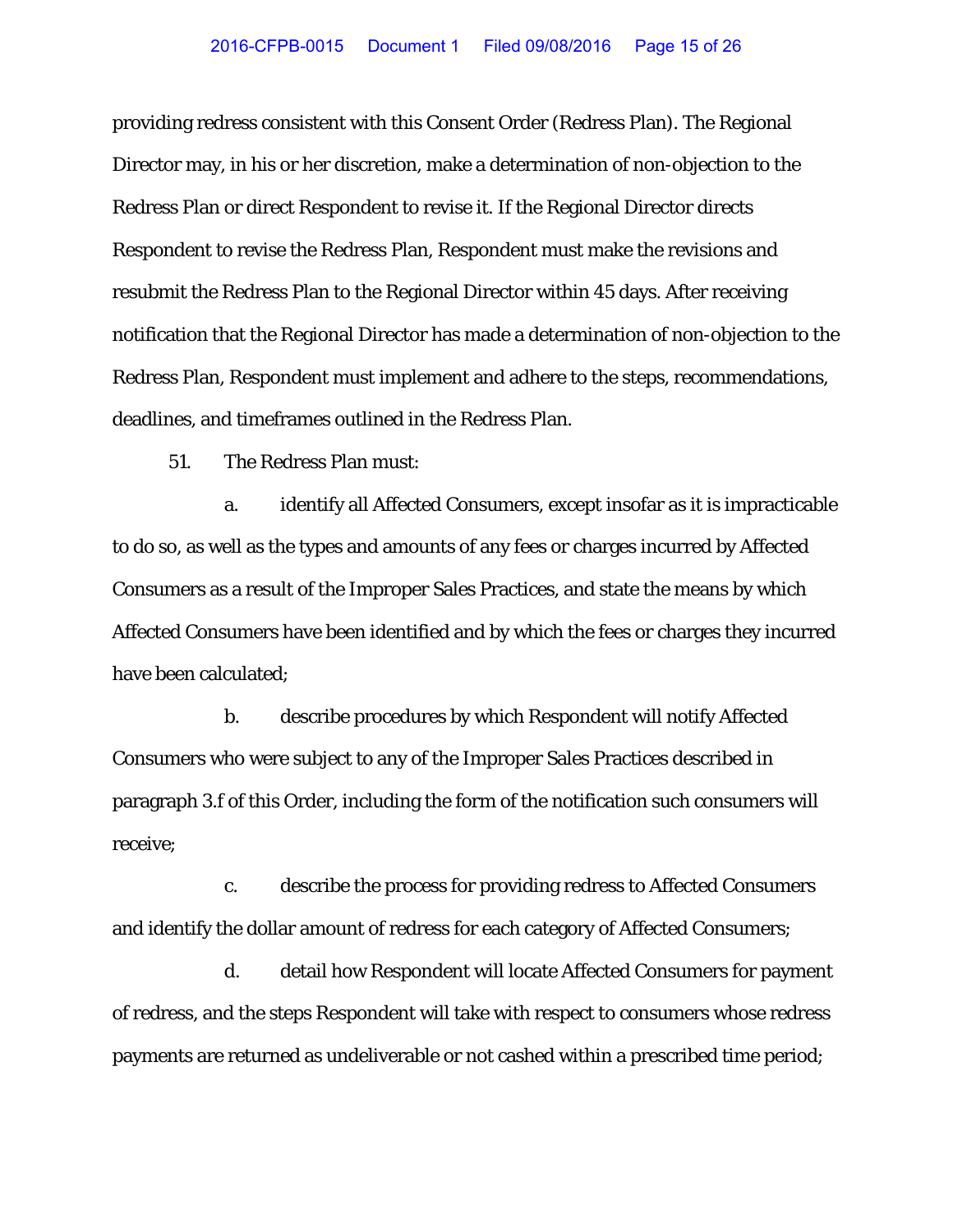providing redress consistent with this Consent Order (Redress Plan). The Regional Director may, in his or her discretion, make a determination of non-objection to the Redress Plan or direct Respondent to revise it. If the Regional Director directs Respondent to revise the Redress Plan, Respondent must make the revisions and resubmit the Redress Plan to the Regional Director within 45 days. After receiving notification that the Regional Director has made a determination of non-objection to the Redress Plan, Respondent must implement and adhere to the steps, recommendations, deadlines, and timeframes outlined in the Redress Plan.

51. The Redress Plan must:

a. identify all Affected Consumers, except insofar as it is impracticable to do so, as well as the types and amounts of any fees or charges incurred by Affected Consumers as a result of the Improper Sales Practices, and state the means by which Affected Consumers have been identified and by which the fees or charges they incurred have been calculated;

b. describe procedures by which Respondent will notify Affected Consumers who were subject to any of the Improper Sales Practices described in paragraph 3.f of this Order, including the form of the notification such consumers will receive;

c. describe the process for providing redress to Affected Consumers and identify the dollar amount of redress for each category of Affected Consumers;

d. detail how Respondent will locate Affected Consumers for payment of redress, and the steps Respondent will take with respect to consumers whose redress payments are returned as undeliverable or not cashed within a prescribed time period;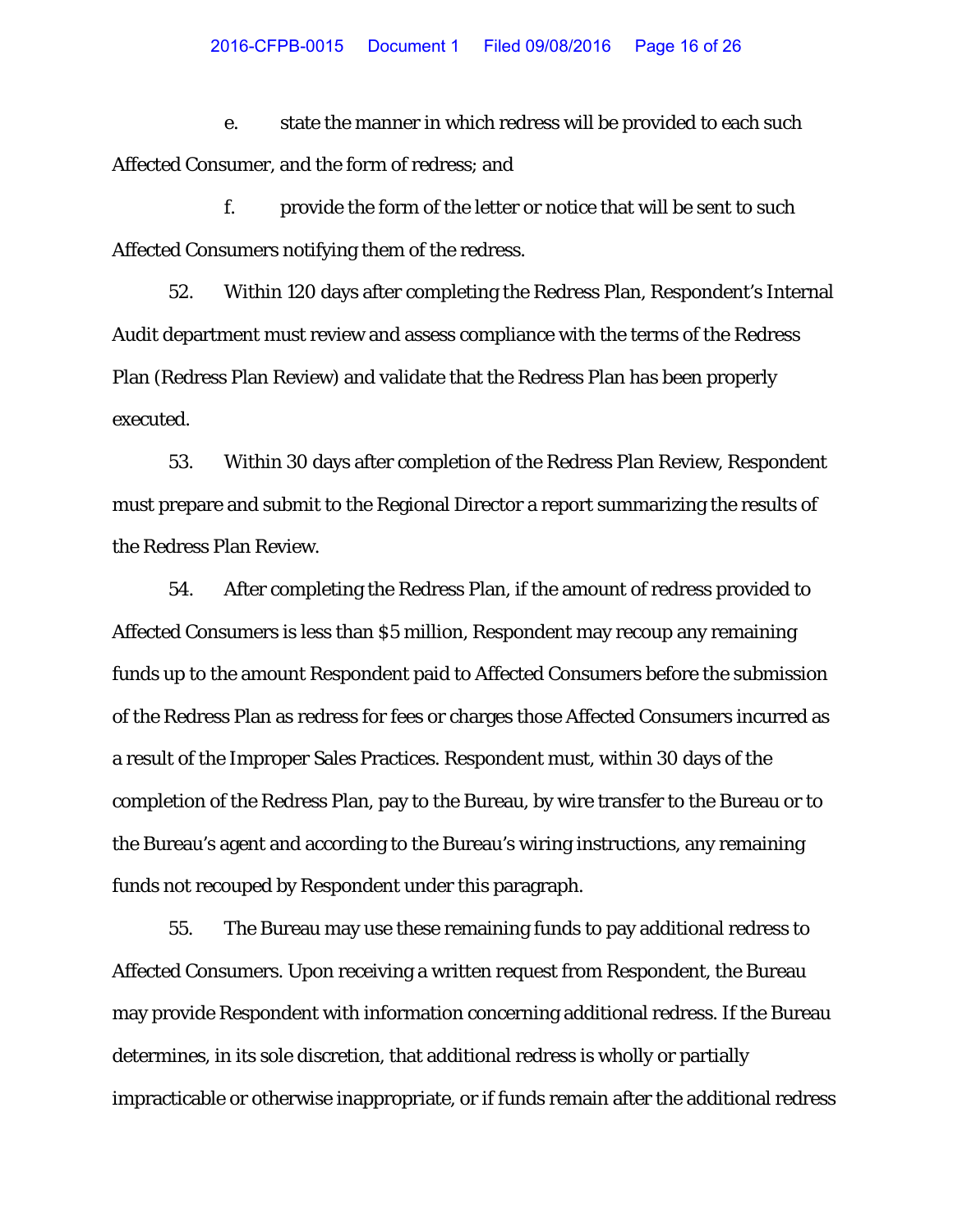e. state the manner in which redress will be provided to each such Affected Consumer, and the form of redress; and

f. provide the form of the letter or notice that will be sent to such Affected Consumers notifying them of the redress.

52. Within 120 days after completing the Redress Plan, Respondent's Internal Audit department must review and assess compliance with the terms of the Redress Plan (Redress Plan Review) and validate that the Redress Plan has been properly executed.

53. Within 30 days after completion of the Redress Plan Review, Respondent must prepare and submit to the Regional Director a report summarizing the results of the Redress Plan Review.

54. After completing the Redress Plan, if the amount of redress provided to Affected Consumers is less than \$5 million, Respondent may recoup any remaining funds up to the amount Respondent paid to Affected Consumers before the submission of the Redress Plan as redress for fees or charges those Affected Consumers incurred as a result of the Improper Sales Practices. Respondent must, within 30 days of the completion of the Redress Plan, pay to the Bureau, by wire transfer to the Bureau or to the Bureau's agent and according to the Bureau's wiring instructions, any remaining funds not recouped by Respondent under this paragraph.

55. The Bureau may use these remaining funds to pay additional redress to Affected Consumers. Upon receiving a written request from Respondent, the Bureau may provide Respondent with information concerning additional redress. If the Bureau determines, in its sole discretion, that additional redress is wholly or partially impracticable or otherwise inappropriate, or if funds remain after the additional redress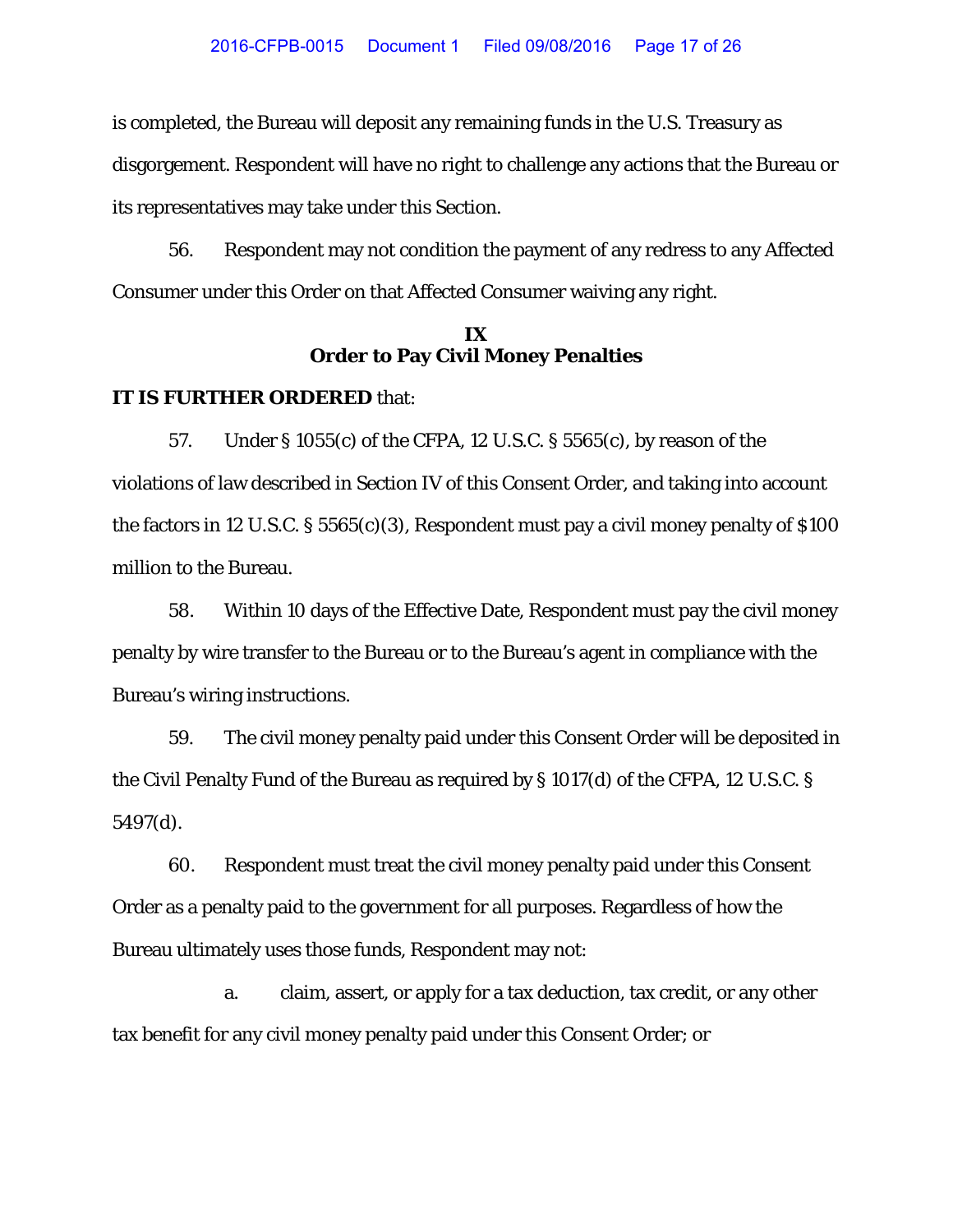is completed, the Bureau will deposit any remaining funds in the U.S. Treasury as disgorgement. Respondent will have no right to challenge any actions that the Bureau or its representatives may take under this Section.

56. Respondent may not condition the payment of any redress to any Affected Consumer under this Order on that Affected Consumer waiving any right.

# **IX Order to Pay Civil Money Penalties**

#### **IT IS FURTHER ORDERED** that:

57. Under § 1055(c) of the CFPA, 12 U.S.C. § 5565(c), by reason of the violations of law described in Section IV of this Consent Order, and taking into account the factors in 12 U.S.C.  $\S 5565(c)(3)$ , Respondent must pay a civil money penalty of  $\S 100$ million to the Bureau.

58. Within 10 days of the Effective Date, Respondent must pay the civil money penalty by wire transfer to the Bureau or to the Bureau's agent in compliance with the Bureau's wiring instructions.

59. The civil money penalty paid under this Consent Order will be deposited in the Civil Penalty Fund of the Bureau as required by § 1017(d) of the CFPA, 12 U.S.C. § 5497(d).

60. Respondent must treat the civil money penalty paid under this Consent Order as a penalty paid to the government for all purposes. Regardless of how the Bureau ultimately uses those funds, Respondent may not:

a. claim, assert, or apply for a tax deduction, tax credit, or any other tax benefit for any civil money penalty paid under this Consent Order; or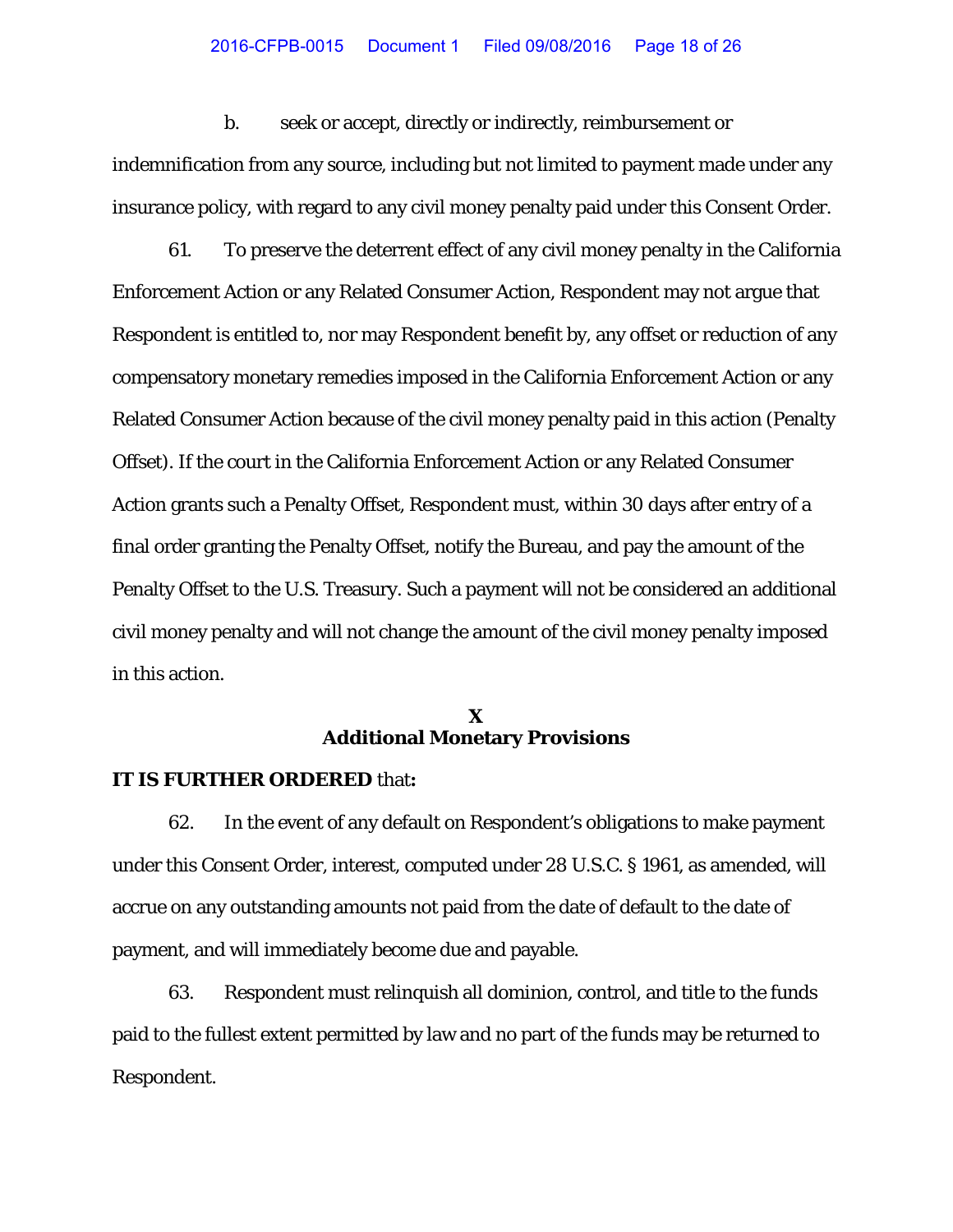b. seek or accept, directly or indirectly, reimbursement or indemnification from any source, including but not limited to payment made under any insurance policy, with regard to any civil money penalty paid under this Consent Order.

61. To preserve the deterrent effect of any civil money penalty in the California Enforcement Action or any Related Consumer Action, Respondent may not argue that Respondent is entitled to, nor may Respondent benefit by, any offset or reduction of any compensatory monetary remedies imposed in the California Enforcement Action or any Related Consumer Action because of the civil money penalty paid in this action (Penalty Offset). If the court in the California Enforcement Action or any Related Consumer Action grants such a Penalty Offset, Respondent must, within 30 days after entry of a final order granting the Penalty Offset, notify the Bureau, and pay the amount of the Penalty Offset to the U.S. Treasury. Such a payment will not be considered an additional civil money penalty and will not change the amount of the civil money penalty imposed in this action.

# **X Additional Monetary Provisions**

## **IT IS FURTHER ORDERED** that**:**

62. In the event of any default on Respondent's obligations to make payment under this Consent Order, interest, computed under 28 U.S.C. § 1961, as amended, will accrue on any outstanding amounts not paid from the date of default to the date of payment, and will immediately become due and payable.

63. Respondent must relinquish all dominion, control, and title to the funds paid to the fullest extent permitted by law and no part of the funds may be returned to Respondent.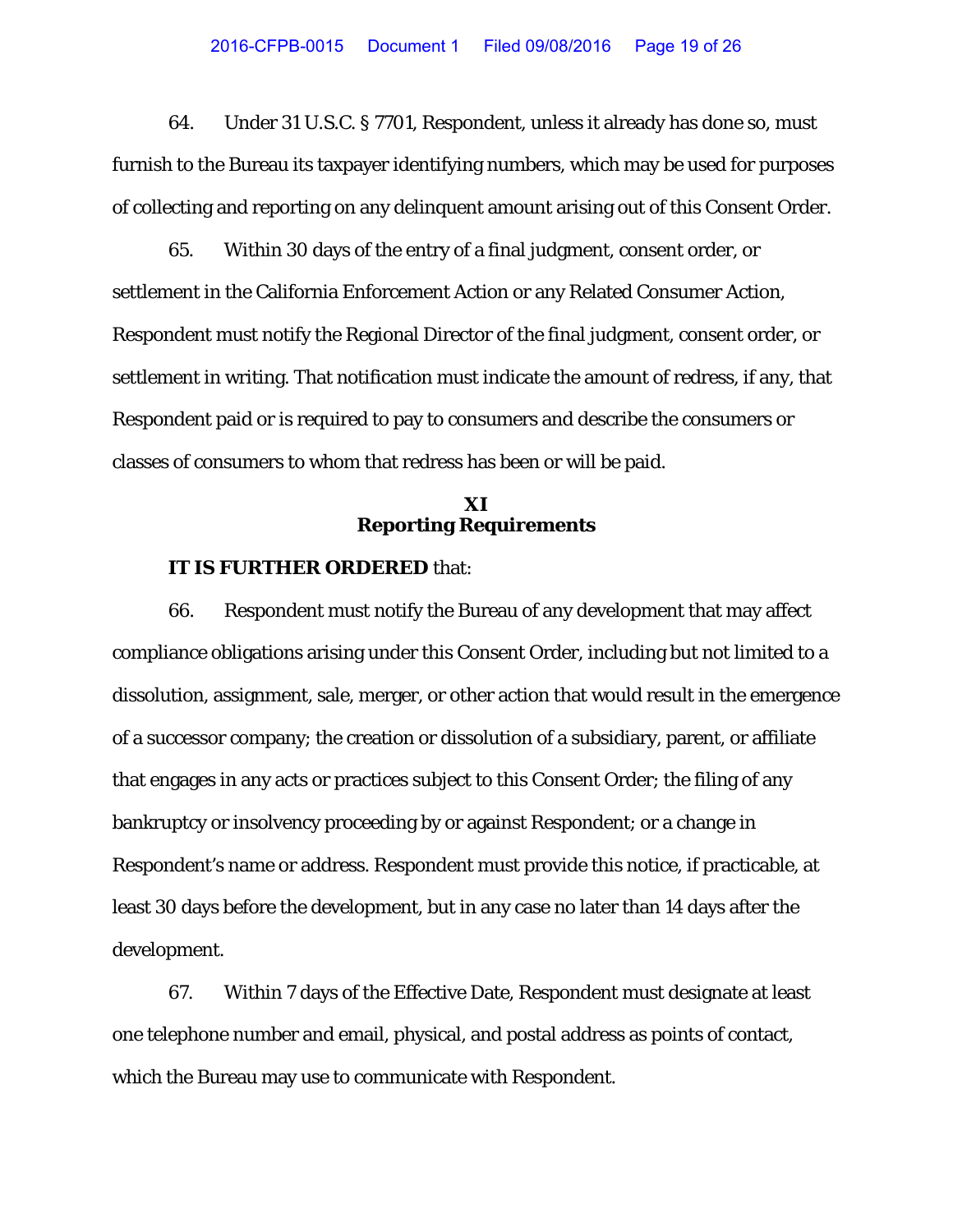64. Under 31 U.S.C. § 7701, Respondent, unless it already has done so, must furnish to the Bureau its taxpayer identifying numbers, which may be used for purposes of collecting and reporting on any delinquent amount arising out of this Consent Order.

65. Within 30 days of the entry of a final judgment, consent order, or settlement in the California Enforcement Action or any Related Consumer Action, Respondent must notify the Regional Director of the final judgment, consent order, or settlement in writing. That notification must indicate the amount of redress, if any, that Respondent paid or is required to pay to consumers and describe the consumers or classes of consumers to whom that redress has been or will be paid.

# **XI Reporting Requirements**

# **IT IS FURTHER ORDERED** that:

66. Respondent must notify the Bureau of any development that may affect compliance obligations arising under this Consent Order, including but not limited to a dissolution, assignment, sale, merger, or other action that would result in the emergence of a successor company; the creation or dissolution of a subsidiary, parent, or affiliate that engages in any acts or practices subject to this Consent Order; the filing of any bankruptcy or insolvency proceeding by or against Respondent; or a change in Respondent's name or address. Respondent must provide this notice, if practicable, at least 30 days before the development, but in any case no later than 14 days after the development.

67. Within 7 days of the Effective Date, Respondent must designate at least one telephone number and email, physical, and postal address as points of contact, which the Bureau may use to communicate with Respondent.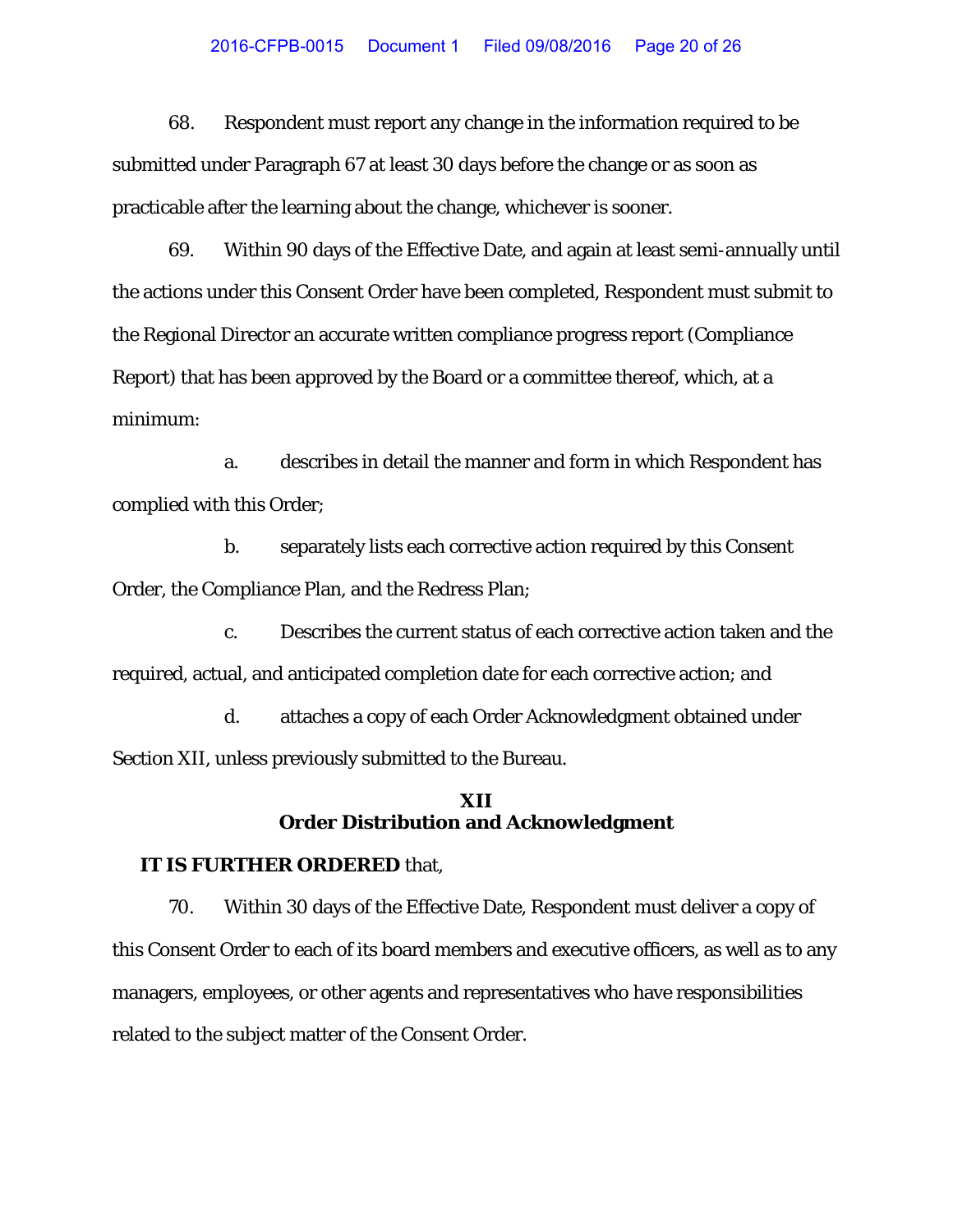#### 2016-CFPB-0015 Document 1 Filed 09/08/2016 Page 20 of 26

68. Respondent must report any change in the information required to be submitted under Paragraph 67 at least 30 days before the change or as soon as practicable after the learning about the change, whichever is sooner.

69. Within 90 days of the Effective Date, and again at least semi-annually until the actions under this Consent Order have been completed, Respondent must submit to the Regional Director an accurate written compliance progress report (Compliance Report) that has been approved by the Board or a committee thereof, which, at a minimum:

a. describes in detail the manner and form in which Respondent has complied with this Order;

b. separately lists each corrective action required by this Consent Order, the Compliance Plan, and the Redress Plan;

c. Describes the current status of each corrective action taken and the required, actual, and anticipated completion date for each corrective action; and

d. attaches a copy of each Order Acknowledgment obtained under Section XII, unless previously submitted to the Bureau.

# **XII Order Distribution and Acknowledgment**

# **IT IS FURTHER ORDERED** that,

70. Within 30 days of the Effective Date, Respondent must deliver a copy of this Consent Order to each of its board members and executive officers, as well as to any managers, employees, or other agents and representatives who have responsibilities related to the subject matter of the Consent Order.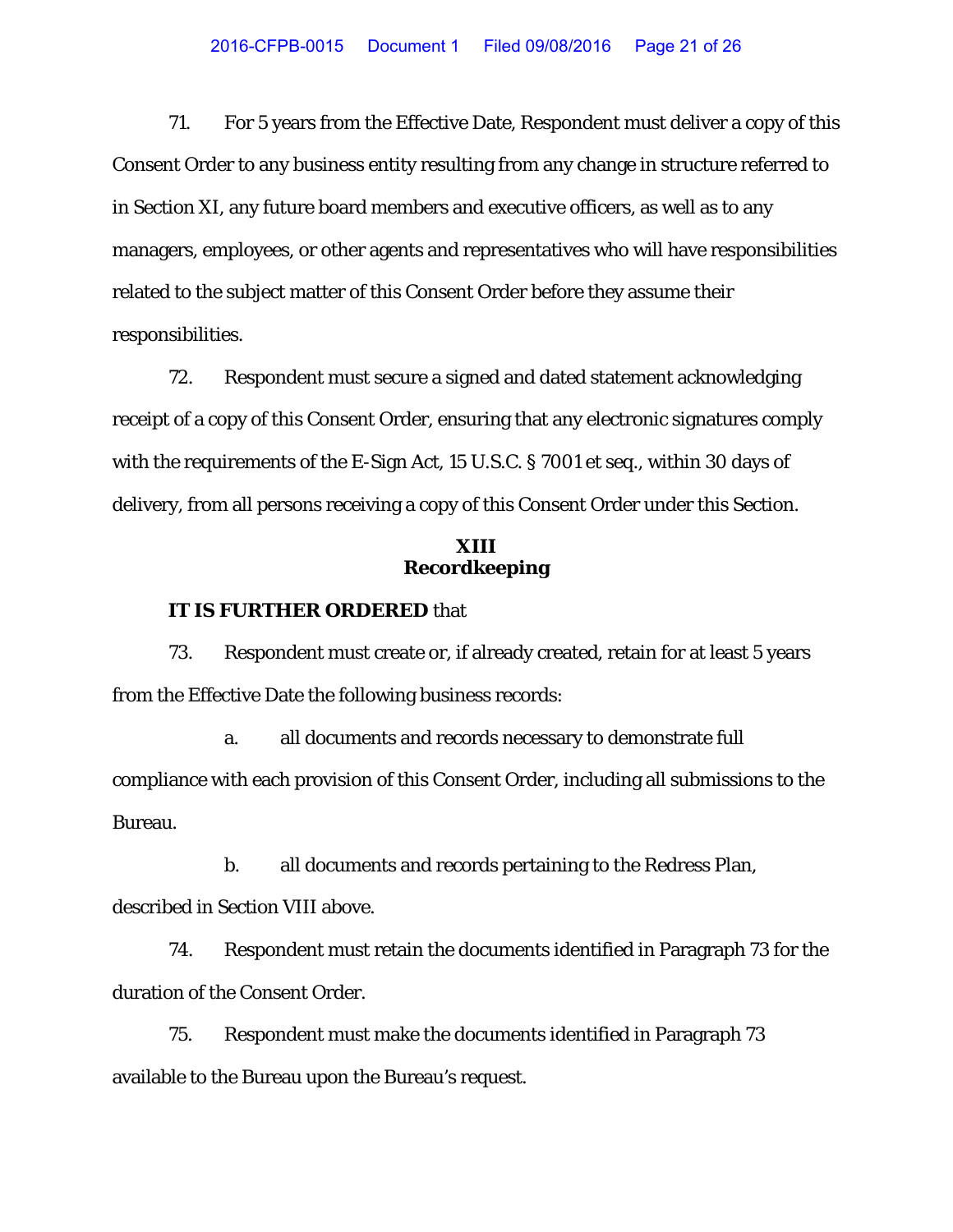71. For 5 years from the Effective Date, Respondent must deliver a copy of this Consent Order to any business entity resulting from any change in structure referred to in Section XI, any future board members and executive officers, as well as to any managers, employees, or other agents and representatives who will have responsibilities related to the subject matter of this Consent Order before they assume their responsibilities.

72. Respondent must secure a signed and dated statement acknowledging receipt of a copy of this Consent Order, ensuring that any electronic signatures comply with the requirements of the E-Sign Act, 15 U.S.C. § 7001 et seq., within 30 days of delivery, from all persons receiving a copy of this Consent Order under this Section.

# **XIII Recordkeeping**

#### **IT IS FURTHER ORDERED** that

73. Respondent must create or, if already created, retain for at least 5 years from the Effective Date the following business records:

a. all documents and records necessary to demonstrate full compliance with each provision of this Consent Order, including all submissions to the Bureau.

b. all documents and records pertaining to the Redress Plan, described in Section VIII above.

74. Respondent must retain the documents identified in Paragraph 73 for the duration of the Consent Order.

75. Respondent must make the documents identified in Paragraph 73 available to the Bureau upon the Bureau's request.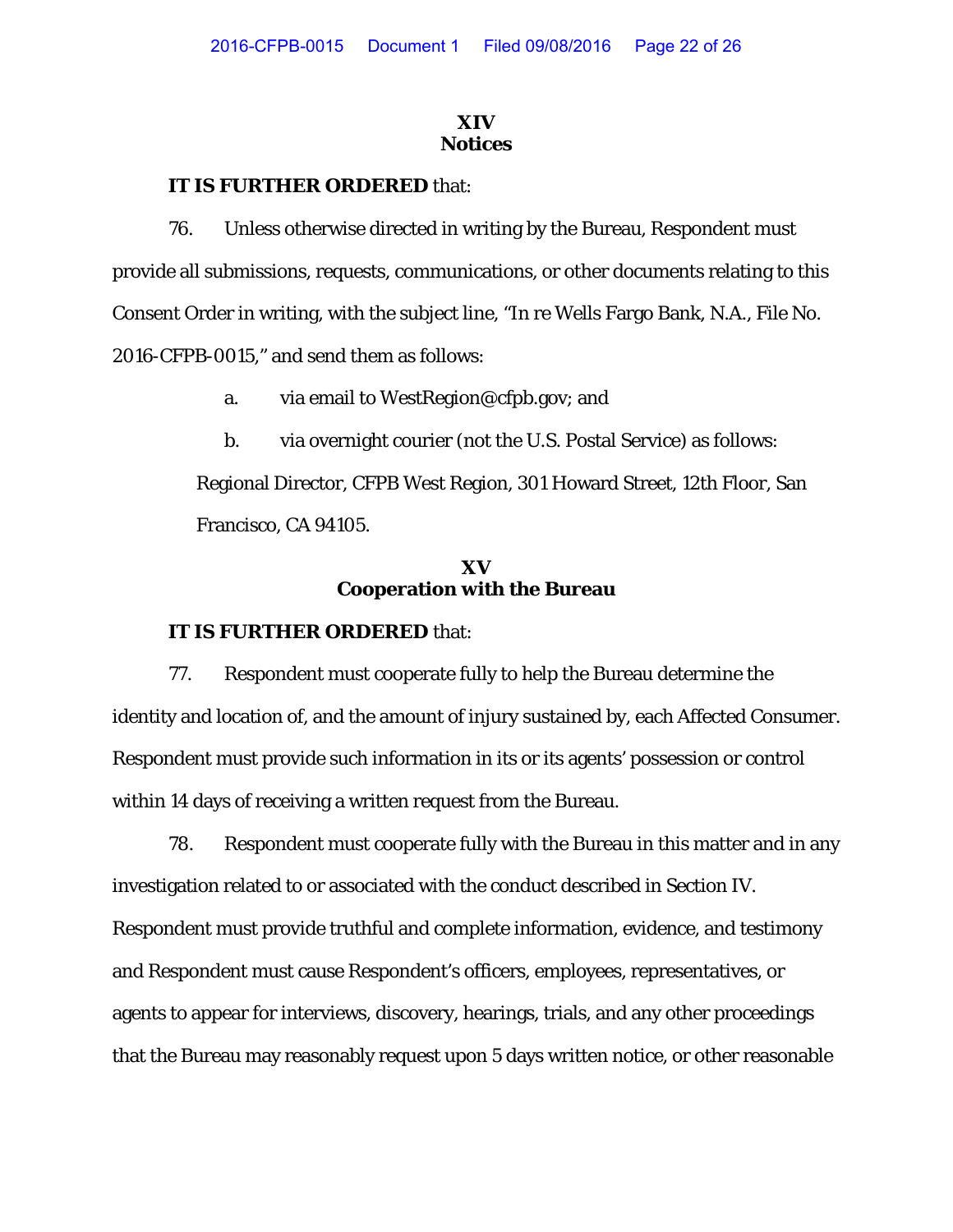# **XIV Notices**

# **IT IS FURTHER ORDERED** that:

76. Unless otherwise directed in writing by the Bureau, Respondent must provide all submissions, requests, communications, or other documents relating to this Consent Order in writing, with the subject line, "In re Wells Fargo Bank, N.A., File No. 2016-CFPB-0015," and send them as follows:

- a. via email to WestRegion@cfpb.gov; and
- b. via overnight courier (not the U.S. Postal Service) as follows:

Regional Director, CFPB West Region, 301 Howard Street, 12th Floor, San Francisco, CA 94105.

# **XV Cooperation with the Bureau**

# **IT IS FURTHER ORDERED** that:

77. Respondent must cooperate fully to help the Bureau determine the identity and location of, and the amount of injury sustained by, each Affected Consumer. Respondent must provide such information in its or its agents' possession or control within 14 days of receiving a written request from the Bureau.

78. Respondent must cooperate fully with the Bureau in this matter and in any investigation related to or associated with the conduct described in Section IV. Respondent must provide truthful and complete information, evidence, and testimony and Respondent must cause Respondent's officers, employees, representatives, or agents to appear for interviews, discovery, hearings, trials, and any other proceedings that the Bureau may reasonably request upon 5 days written notice, or other reasonable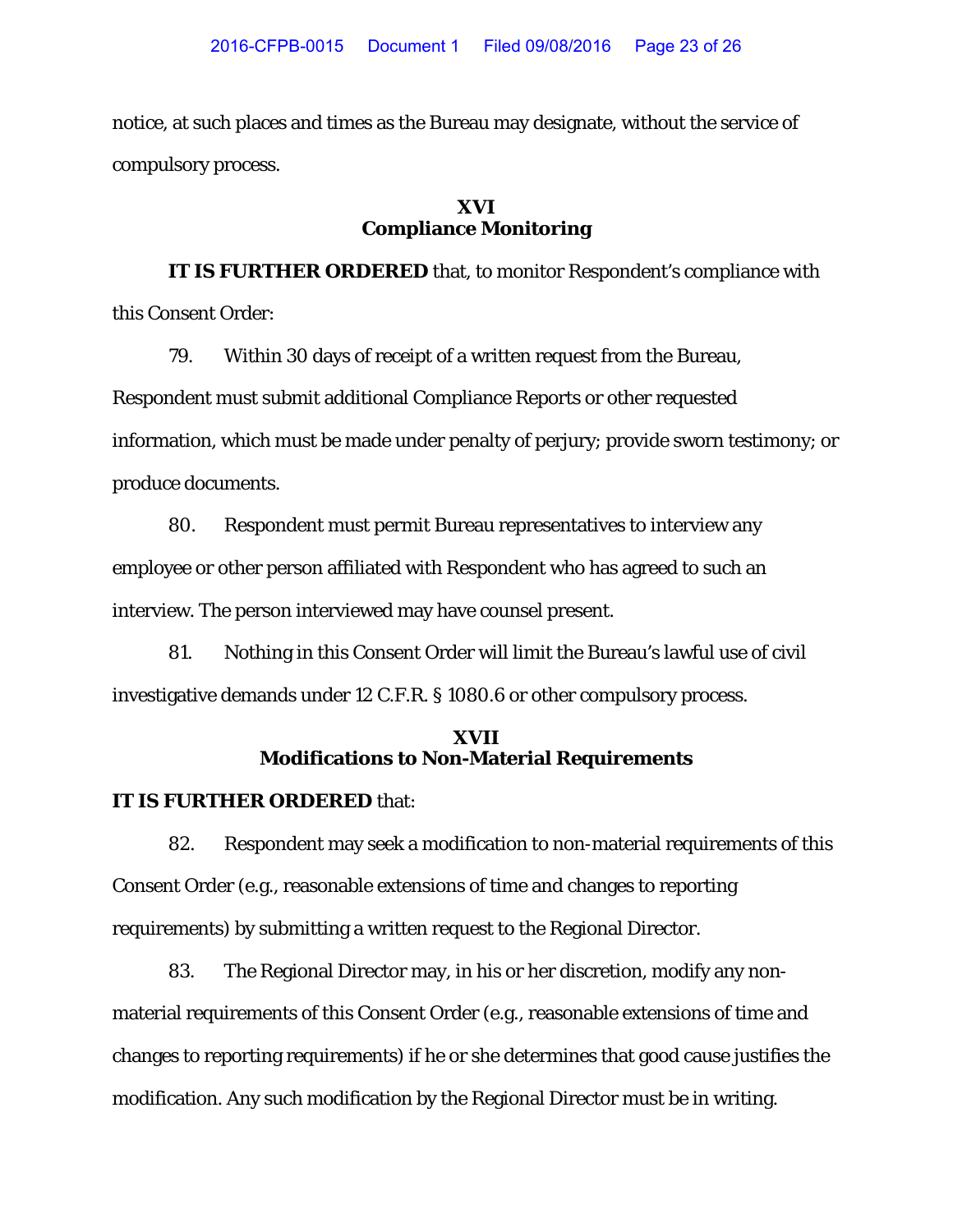notice, at such places and times as the Bureau may designate, without the service of compulsory process.

# **XVI Compliance Monitoring**

**IT IS FURTHER ORDERED** that, to monitor Respondent's compliance with this Consent Order:

79. Within 30 days of receipt of a written request from the Bureau, Respondent must submit additional Compliance Reports or other requested information, which must be made under penalty of perjury; provide sworn testimony; or produce documents.

80. Respondent must permit Bureau representatives to interview any employee or other person affiliated with Respondent who has agreed to such an interview. The person interviewed may have counsel present.

81. Nothing in this Consent Order will limit the Bureau's lawful use of civil investigative demands under 12 C.F.R. § 1080.6 or other compulsory process.

# **XVII Modifications to Non-Material Requirements**

# **IT IS FURTHER ORDERED** that:

82. Respondent may seek a modification to non-material requirements of this Consent Order (e.g., reasonable extensions of time and changes to reporting requirements) by submitting a written request to the Regional Director.

83. The Regional Director may, in his or her discretion, modify any nonmaterial requirements of this Consent Order (e.g., reasonable extensions of time and changes to reporting requirements) if he or she determines that good cause justifies the modification. Any such modification by the Regional Director must be in writing.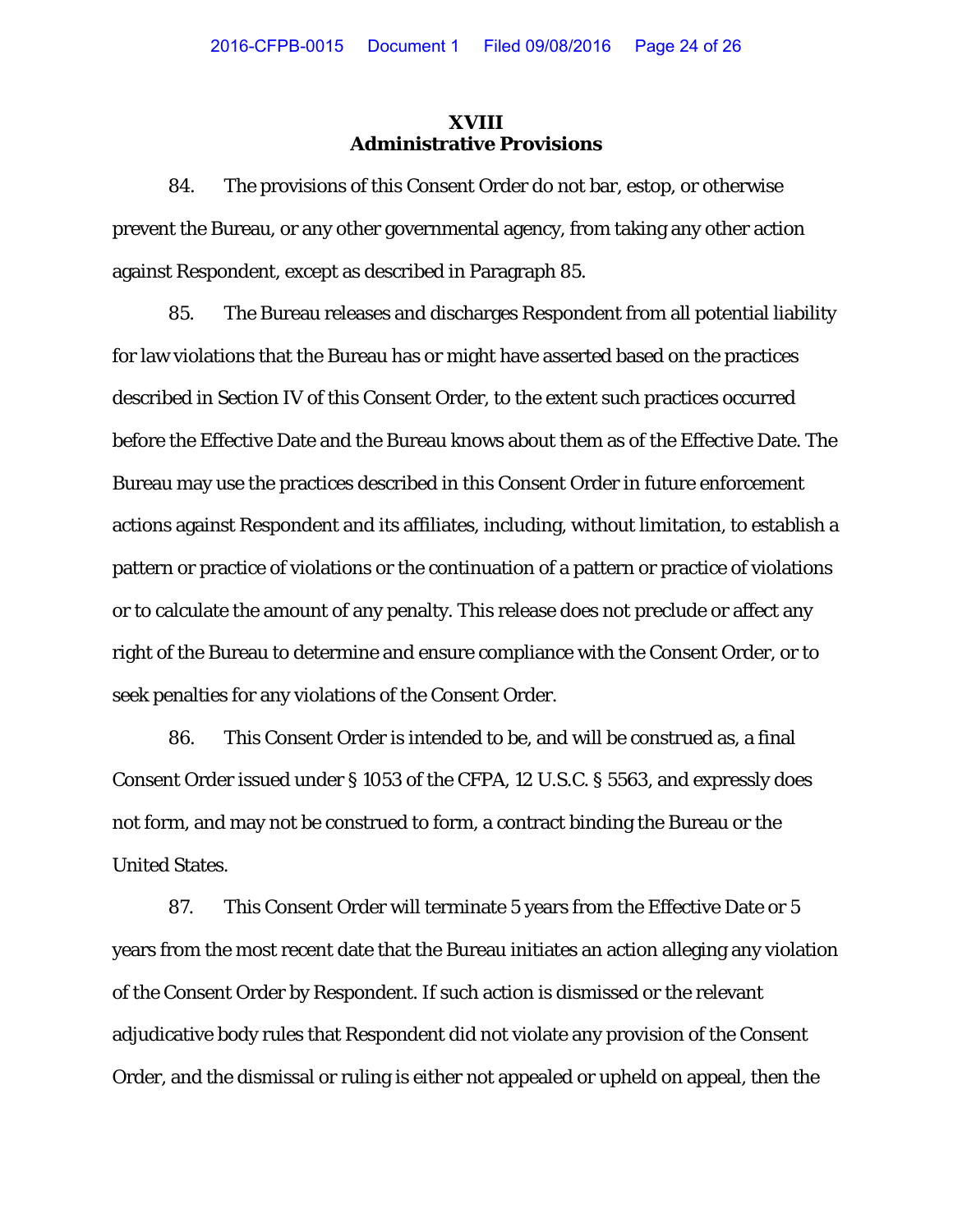## **XVIII Administrative Provisions**

84. The provisions of this Consent Order do not bar, estop, or otherwise prevent the Bureau, or any other governmental agency, from taking any other action against Respondent, except as described in Paragraph 85.

85. The Bureau releases and discharges Respondent from all potential liability for law violations that the Bureau has or might have asserted based on the practices described in Section IV of this Consent Order, to the extent such practices occurred before the Effective Date and the Bureau knows about them as of the Effective Date. The Bureau may use the practices described in this Consent Order in future enforcement actions against Respondent and its affiliates, including, without limitation, to establish a pattern or practice of violations or the continuation of a pattern or practice of violations or to calculate the amount of any penalty. This release does not preclude or affect any right of the Bureau to determine and ensure compliance with the Consent Order, or to seek penalties for any violations of the Consent Order.

86. This Consent Order is intended to be, and will be construed as, a final Consent Order issued under § 1053 of the CFPA, 12 U.S.C. § 5563, and expressly does not form, and may not be construed to form, a contract binding the Bureau or the United States.

87. This Consent Order will terminate 5 years from the Effective Date or 5 years from the most recent date that the Bureau initiates an action alleging any violation of the Consent Order by Respondent. If such action is dismissed or the relevant adjudicative body rules that Respondent did not violate any provision of the Consent Order, and the dismissal or ruling is either not appealed or upheld on appeal, then the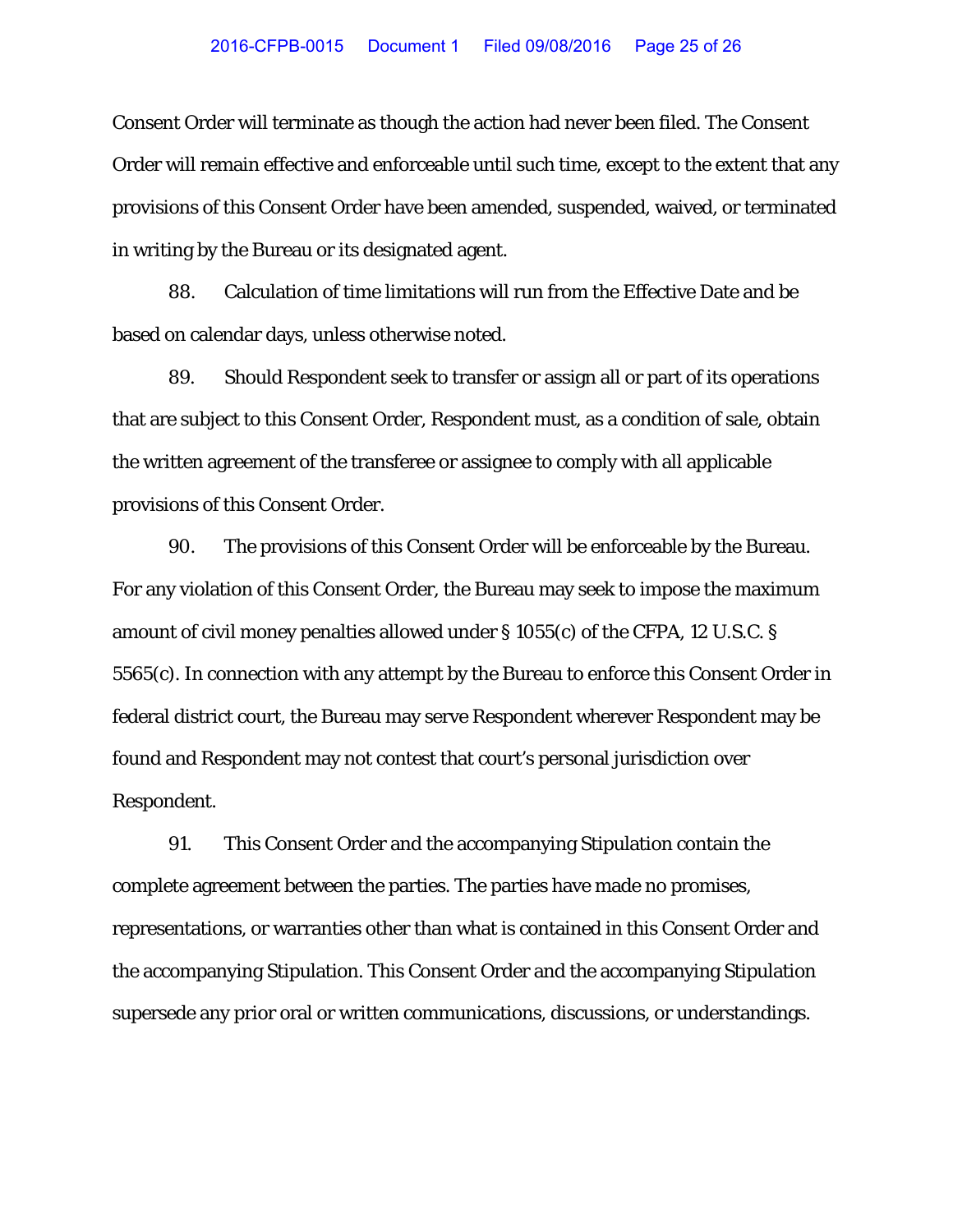Consent Order will terminate as though the action had never been filed. The Consent Order will remain effective and enforceable until such time, except to the extent that any provisions of this Consent Order have been amended, suspended, waived, or terminated in writing by the Bureau or its designated agent.

88. Calculation of time limitations will run from the Effective Date and be based on calendar days, unless otherwise noted.

89. Should Respondent seek to transfer or assign all or part of its operations that are subject to this Consent Order, Respondent must, as a condition of sale, obtain the written agreement of the transferee or assignee to comply with all applicable provisions of this Consent Order.

90. The provisions of this Consent Order will be enforceable by the Bureau. For any violation of this Consent Order, the Bureau may seek to impose the maximum amount of civil money penalties allowed under § 1055(c) of the CFPA, 12 U.S.C. § 5565(c). In connection with any attempt by the Bureau to enforce this Consent Order in federal district court, the Bureau may serve Respondent wherever Respondent may be found and Respondent may not contest that court's personal jurisdiction over Respondent.

91. This Consent Order and the accompanying Stipulation contain the complete agreement between the parties. The parties have made no promises, representations, or warranties other than what is contained in this Consent Order and the accompanying Stipulation. This Consent Order and the accompanying Stipulation supersede any prior oral or written communications, discussions, or understandings.